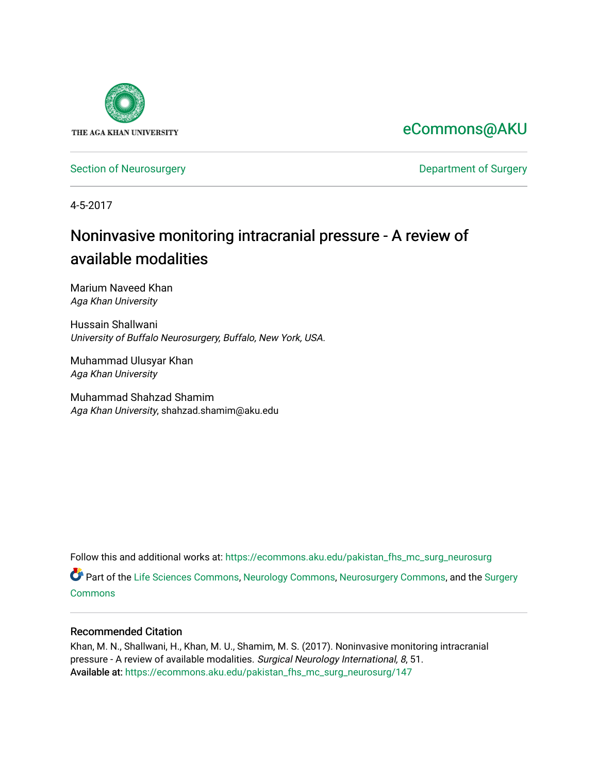

# [eCommons@AKU](https://ecommons.aku.edu/)

[Section of Neurosurgery](https://ecommons.aku.edu/pakistan_fhs_mc_surg_neurosurg) **Department of Surgery** Department of Surgery

4-5-2017

# Noninvasive monitoring intracranial pressure - A review of available modalities

Marium Naveed Khan Aga Khan University

Hussain Shallwani University of Buffalo Neurosurgery, Buffalo, New York, USA.

Muhammad Ulusyar Khan Aga Khan University

Muhammad Shahzad Shamim Aga Khan University, shahzad.shamim@aku.edu

Follow this and additional works at: [https://ecommons.aku.edu/pakistan\\_fhs\\_mc\\_surg\\_neurosurg](https://ecommons.aku.edu/pakistan_fhs_mc_surg_neurosurg?utm_source=ecommons.aku.edu%2Fpakistan_fhs_mc_surg_neurosurg%2F147&utm_medium=PDF&utm_campaign=PDFCoverPages) 

Part of the [Life Sciences Commons,](http://network.bepress.com/hgg/discipline/1016?utm_source=ecommons.aku.edu%2Fpakistan_fhs_mc_surg_neurosurg%2F147&utm_medium=PDF&utm_campaign=PDFCoverPages) [Neurology Commons](http://network.bepress.com/hgg/discipline/692?utm_source=ecommons.aku.edu%2Fpakistan_fhs_mc_surg_neurosurg%2F147&utm_medium=PDF&utm_campaign=PDFCoverPages), [Neurosurgery Commons](http://network.bepress.com/hgg/discipline/1428?utm_source=ecommons.aku.edu%2Fpakistan_fhs_mc_surg_neurosurg%2F147&utm_medium=PDF&utm_campaign=PDFCoverPages), and the [Surgery](http://network.bepress.com/hgg/discipline/706?utm_source=ecommons.aku.edu%2Fpakistan_fhs_mc_surg_neurosurg%2F147&utm_medium=PDF&utm_campaign=PDFCoverPages) [Commons](http://network.bepress.com/hgg/discipline/706?utm_source=ecommons.aku.edu%2Fpakistan_fhs_mc_surg_neurosurg%2F147&utm_medium=PDF&utm_campaign=PDFCoverPages)

### Recommended Citation

Khan, M. N., Shallwani, H., Khan, M. U., Shamim, M. S. (2017). Noninvasive monitoring intracranial pressure - A review of available modalities. Surgical Neurology International, 8, 51. Available at: [https://ecommons.aku.edu/pakistan\\_fhs\\_mc\\_surg\\_neurosurg/147](https://ecommons.aku.edu/pakistan_fhs_mc_surg_neurosurg/147)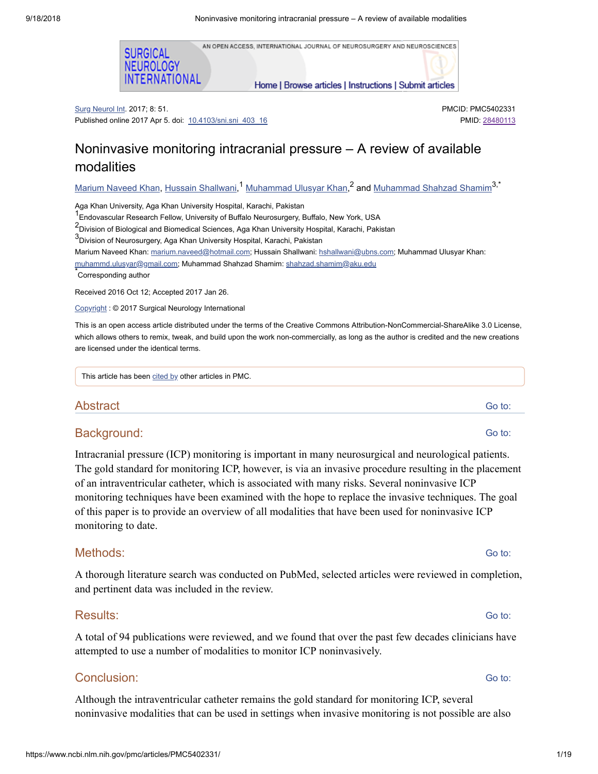AN OPEN ACCESS, INTERNATIONAL JOURNAL OF NEUROSURGERY AND NEUROSCIENCES



Home | Browse articles | Instructions | Submit articles

Surg Neurol Int. 2017; 8: 51. Published online 2017 Apr 5. doi: [10.4103/sni.sni\\_403\\_16](https://dx.doi.org/10.4103%2Fsni.sni_403_16) PMCID: PMC5402331 PMID: [28480113](https://www.ncbi.nlm.nih.gov/pubmed/28480113)

# Noninvasive monitoring intracranial pressure – A review of available modalities

<u>Marium [Naveed](https://www.ncbi.nlm.nih.gov/pubmed/?term=Khan%20MN%5BAuthor%5D&cauthor=true&cauthor_uid=28480113) Khan, Hussain [Shallwani,](https://www.ncbi.nlm.nih.gov/pubmed/?term=Shallwani%20H%5BAuthor%5D&cauthor=true&cauthor_uid=28480113)<sup>1</sup> [Muhammad](https://www.ncbi.nlm.nih.gov/pubmed/?term=Shamim%20MS%5BAuthor%5D&cauthor=true&cauthor_uid=28480113) Ulusyar Khan,<sup>2</sup> and <u>Muhammad Shahzad Shamim</u><sup>3,\*</sup></u>

Aga Khan University, Aga Khan University Hospital, Karachi, Pakistan

<sup>1</sup> Endovascular Research Fellow, University of Buffalo Neurosurgery, Buffalo, New York, USA

2<br>PDivision of Biological and Biomedical Sciences, Aga Khan University Hospital, Karachi, Pakistan

 $^3$ Division of Neurosurgery, Aga Khan University Hospital, Karachi, Pakistan

Marium Naveed Khan: [marium.naveed@hotmail.com](mailto:dev@null); Hussain Shallwani: [hshallwani@ubns.com](mailto:dev@null); Muhammad Ulusyar Khan:

[muhammd.ulusyar@gmail.com;](mailto:dev@null) Muhammad Shahzad Shamim: [shahzad.shamim@aku.edu](mailto:dev@null)

Corresponding author \*

Received 2016 Oct 12; Accepted 2017 Jan 26.

[Copyright](https://www.ncbi.nlm.nih.gov/pmc/about/copyright/) : © 2017 Surgical Neurology International

This is an open access article distributed under the terms of the Creative Commons Attribution-NonCommercial-ShareAlike 3.0 License, which allows others to remix, tweak, and build upon the work non-commercially, as long as the author is credited and the new creations are licensed under the identical terms.

This article has been [cited](https://www.ncbi.nlm.nih.gov/pmc/articles/PMC5402331/citedby/) by other articles in PMC.

**Abstract** 

### Background:

Intracranial pressure (ICP) monitoring is important in many neurosurgical and neurological patients. The gold standard for monitoring ICP, however, is via an invasive procedure resulting in the placement of an intraventricular catheter, which is associated with many risks. Several noninvasive ICP monitoring techniques have been examined with the hope to replace the invasive techniques. The goal of this paper is to provide an overview of all modalities that have been used for noninvasive ICP monitoring to date.

### Methods:

A thorough literature search was conducted on PubMed, selected articles were reviewed in completion, and pertinent data was included in the review.

## Results:

A total of 94 publications were reviewed, and we found that over the past few decades clinicians have attempted to use a number of modalities to monitor ICP noninvasively.

## Conclusion:

Although the intraventricular catheter remains the gold standard for monitoring ICP, several noninvasive modalities that can be used in settings when invasive monitoring is not possible are also

Go to:

Go to:

# Go to:

Go to:

Go to: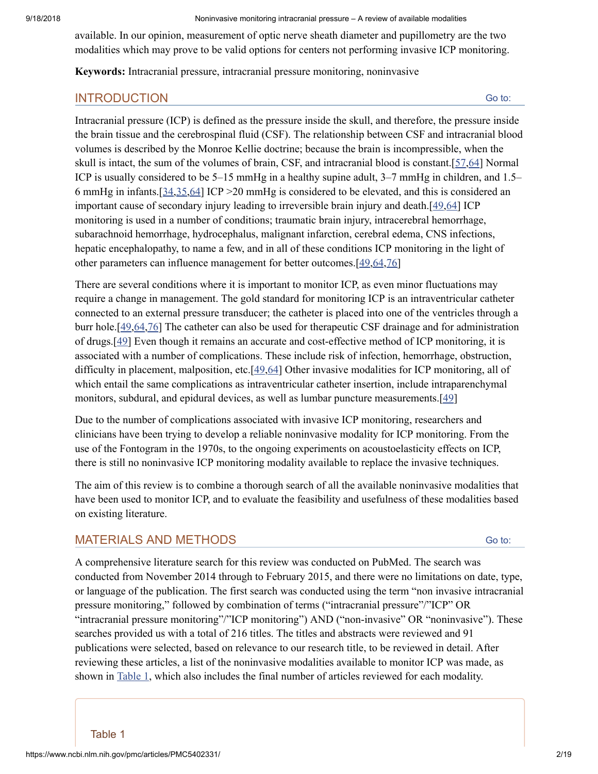available. In our opinion, measurement of optic nerve sheath diameter and pupillometry are the two modalities which may prove to be valid options for centers not performing invasive ICP monitoring.

**Keywords:** Intracranial pressure, intracranial pressure monitoring, noninvasive

## INTRODUCTION

Go to:

Intracranial pressure (ICP) is defined as the pressure inside the skull, and therefore, the pressure inside the brain tissue and the cerebrospinal fluid (CSF). The relationship between CSF and intracranial blood volumes is described by the Monroe Kellie doctrine; because the brain is incompressible, when the skull is intact, the sum of the volumes of brain, CSF, and intracranial blood is constant.[\[57](#page-17-0)[,64](#page-17-1)] Normal ICP is usually considered to be 5–15 mmHg in a healthy supine adult, 3–7 mmHg in children, and 1.5– 6 mmHg in infants.[\[34](#page-15-0)[,35](#page-15-1)[,64](#page-17-1)] ICP >20 mmHg is considered to be elevated, and this is considered an important cause of secondary injury leading to irreversible brain injury and death.[\[49](#page-16-0)[,64](#page-17-1)] ICP monitoring is used in a number of conditions; traumatic brain injury, intracerebral hemorrhage, subarachnoid hemorrhage, hydrocephalus, malignant infarction, cerebral edema, CNS infections, hepatic encephalopathy, to name a few, and in all of these conditions ICP monitoring in the light of other parameters can influence management for better outcomes.[\[49](#page-16-0),[64](#page-17-1),[76\]](#page-18-0)

There are several conditions where it is important to monitor ICP, as even minor fluctuations may require a change in management. The gold standard for monitoring ICP is an intraventricular catheter connected to an external pressure transducer; the catheter is placed into one of the ventricles through a burr hole.[\[49](#page-16-0)[,64](#page-17-1)[,76](#page-18-0)] The catheter can also be used for therapeutic CSF drainage and for administration of drugs.[[49\]](#page-16-0) Even though it remains an accurate and cost-effective method of ICP monitoring, it is associated with a number of complications. These include risk of infection, hemorrhage, obstruction, difficulty in placement, malposition, etc.[[49,](#page-16-0)[64\]](#page-17-1) Other invasive modalities for ICP monitoring, all of which entail the same complications as intraventricular catheter insertion, include intraparenchymal monitors, subdural, and epidural devices, as well as lumbar puncture measurements.[[49\]](#page-16-0)

Due to the number of complications associated with invasive ICP monitoring, researchers and clinicians have been trying to develop a reliable noninvasive modality for ICP monitoring. From the use of the Fontogram in the 1970s, to the ongoing experiments on acoustoelasticity effects on ICP, there is still no noninvasive ICP monitoring modality available to replace the invasive techniques.

The aim of this review is to combine a thorough search of all the available noninvasive modalities that have been used to monitor ICP, and to evaluate the feasibility and usefulness of these modalities based on existing literature.

# MATERIALS AND METHODS

Go to:

A comprehensive literature search for this review was conducted on PubMed. The search was conducted from November 2014 through to February 2015, and there were no limitations on date, type, or language of the publication. The first search was conducted using the term "non invasive intracranial pressure monitoring," followed by combination of terms ("intracranial pressure"/"ICP" OR "intracranial pressure monitoring"/"ICP monitoring") AND ("non-invasive" OR "noninvasive"). These searches provided us with a total of 216 titles. The titles and abstracts were reviewed and 91 publications were selected, based on relevance to our research title, to be reviewed in detail. After reviewing these articles, a list of the noninvasive modalities available to monitor ICP was made, as shown in [Table](https://www.ncbi.nlm.nih.gov/pmc/articles/PMC5402331/table/T1/) 1, which also includes the final number of articles reviewed for each modality.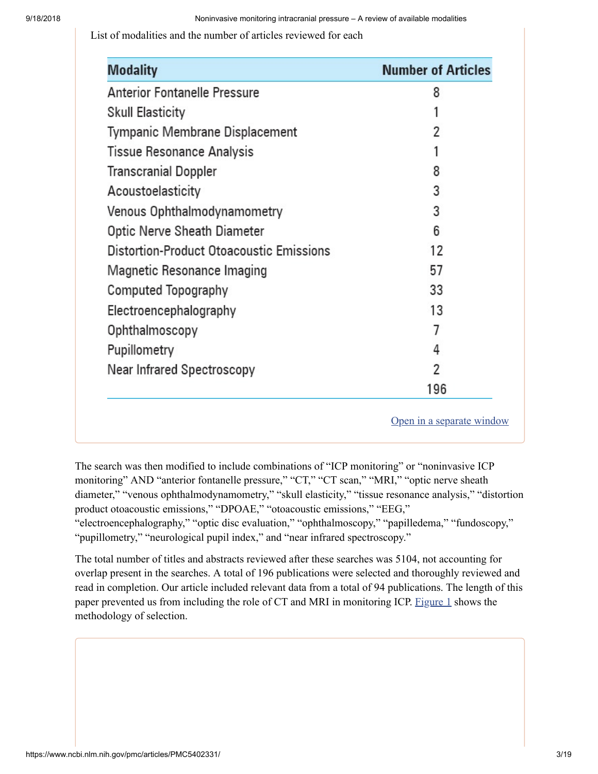List of modalities and the number of articles reviewed for each

| <b>Modality</b>                                 | <b>Number of Articles</b> |
|-------------------------------------------------|---------------------------|
| <b>Anterior Fontanelle Pressure</b>             | 8                         |
| <b>Skull Elasticity</b>                         |                           |
| Tympanic Membrane Displacement                  | 2                         |
| <b>Tissue Resonance Analysis</b>                |                           |
| <b>Transcranial Doppler</b>                     | 8                         |
| Acoustoelasticity                               | 3                         |
| Venous Ophthalmodynamometry                     | 3                         |
| Optic Nerve Sheath Diameter                     | 6                         |
| <b>Distortion-Product Otoacoustic Emissions</b> | 12                        |
| Magnetic Resonance Imaging                      | 57                        |
| Computed Topography                             | 33                        |
| Electroencephalography                          | 13                        |
| Ophthalmoscopy                                  | 7                         |
| Pupillometry                                    | 4                         |
| Near Infrared Spectroscopy                      | 2                         |
|                                                 | 196                       |

Open in a [separate](https://www.ncbi.nlm.nih.gov/pmc/articles/PMC5402331/table/T1/?report=objectonly) window

The search was then modified to include combinations of "ICP monitoring" or "noninvasive ICP monitoring" AND "anterior fontanelle pressure," "CT," "CT scan," "MRI," "optic nerve sheath diameter," "venous ophthalmodynamometry," "skull elasticity," "tissue resonance analysis," "distortion product otoacoustic emissions," "DPOAE," "otoacoustic emissions," "EEG,"

"electroencephalography," "optic disc evaluation," "ophthalmoscopy," "papilledema," "fundoscopy," "pupillometry," "neurological pupil index," and "near infrared spectroscopy."

The total number of titles and abstracts reviewed after these searches was 5104, not accounting for overlap present in the searches. A total of 196 publications were selected and thoroughly reviewed and read in completion. Our article included relevant data from a total of 94 publications. The length of this paper prevented us from including the role of CT and MRI in monitoring ICP. [Figure](https://www.ncbi.nlm.nih.gov/pmc/articles/PMC5402331/figure/F1/) 1 shows the methodology of selection.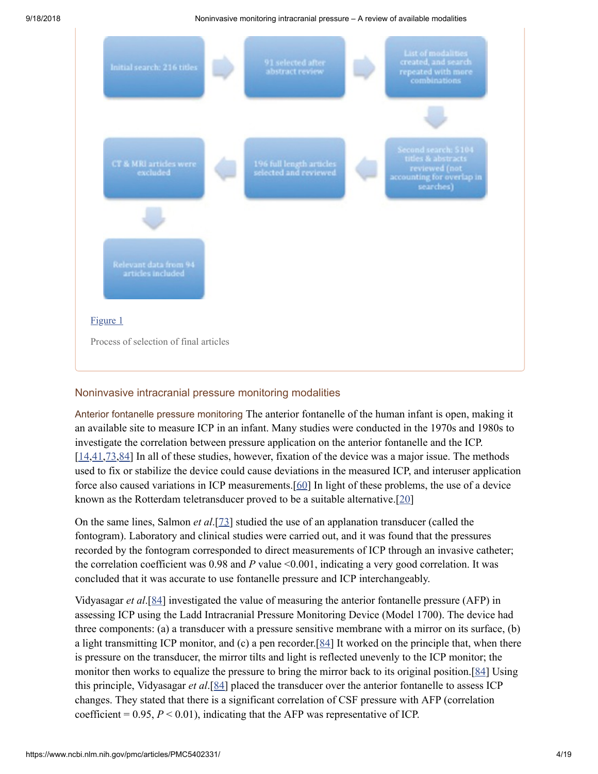

## Noninvasive intracranial pressure monitoring modalities

Anterior fontanelle pressure monitoring The anterior fontanelle of the human infant is open, making it an available site to measure ICP in an infant. Many studies were conducted in the 1970s and 1980s to investigate the correlation between pressure application on the anterior fontanelle and the ICP.  $[14,41,73,84]$  $[14,41,73,84]$  $[14,41,73,84]$  $[14,41,73,84]$  $[14,41,73,84]$  $[14,41,73,84]$  In all of these studies, however, fixation of the device was a major issue. The methods used to fix or stabilize the device could cause deviations in the measured ICP, and interuser application force also caused variations in ICP measurements.[[60\]](#page-17-3) In light of these problems, the use of a device known as the Rotterdam teletransducer proved to be a suitable alternative.[\[20](#page-14-1)]

On the same lines, Salmon *et al*.[[73](#page-17-2)] studied the use of an applanation transducer (called the fontogram). Laboratory and clinical studies were carried out, and it was found that the pressures recorded by the fontogram corresponded to direct measurements of ICP through an invasive catheter; the correlation coefficient was 0.98 and *P* value <0.001, indicating a very good correlation. It was concluded that it was accurate to use fontanelle pressure and ICP interchangeably.

Vidyasagar *et al*.[\[84](#page-18-1)] investigated the value of measuring the anterior fontanelle pressure (AFP) in assessing ICP using the Ladd Intracranial Pressure Monitoring Device (Model 1700). The device had three components: (a) a transducer with a pressure sensitive membrane with a mirror on its surface, (b) a light transmitting ICP monitor, and (c) a pen recorder.[ $84$ ] It worked on the principle that, when there is pressure on the transducer, the mirror tilts and light is reflected unevenly to the ICP monitor; the monitor then works to equalize the pressure to bring the mirror back to its original position.[\[84](#page-18-1)] Using this principle, Vidyasagar *et al*.[[84](#page-18-1)] placed the transducer over the anterior fontanelle to assess ICP changes. They stated that there is a significant correlation of CSF pressure with AFP (correlation coefficient =  $0.95, P \le 0.01$ ), indicating that the AFP was representative of ICP.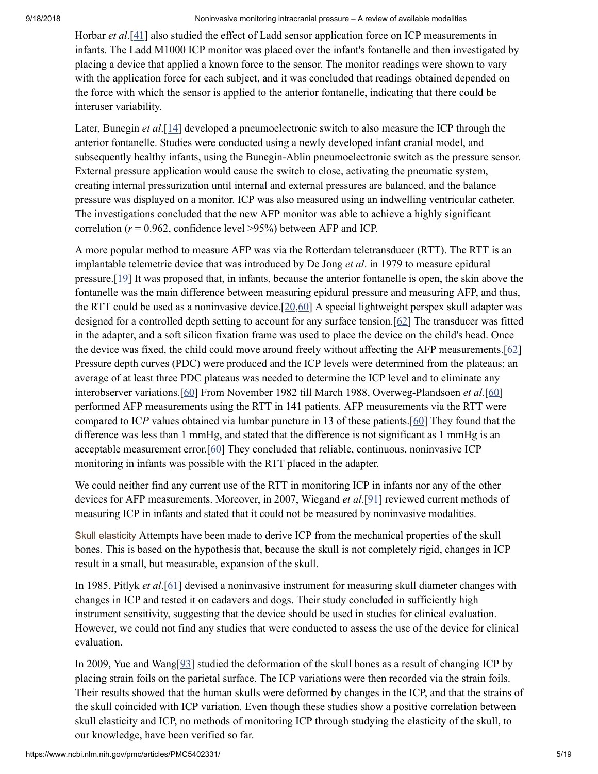Horbar *et al*.[[41\]](#page-16-1) also studied the effect of Ladd sensor application force on ICP measurements in infants. The Ladd M1000 ICP monitor was placed over the infant's fontanelle and then investigated by placing a device that applied a known force to the sensor. The monitor readings were shown to vary with the application force for each subject, and it was concluded that readings obtained depended on the force with which the sensor is applied to the anterior fontanelle, indicating that there could be interuser variability.

Later, Bunegin *et al*.[\[14](#page-14-0)] developed a pneumoelectronic switch to also measure the ICP through the anterior fontanelle. Studies were conducted using a newly developed infant cranial model, and subsequently healthy infants, using the Bunegin-Ablin pneumoelectronic switch as the pressure sensor. External pressure application would cause the switch to close, activating the pneumatic system, creating internal pressurization until internal and external pressures are balanced, and the balance pressure was displayed on a monitor. ICP was also measured using an indwelling ventricular catheter. The investigations concluded that the new AFP monitor was able to achieve a highly significant correlation ( $r = 0.962$ , confidence level  $>95\%$ ) between AFP and ICP.

A more popular method to measure AFP was via the Rotterdam teletransducer (RTT). The RTT is an implantable telemetric device that was introduced by De Jong *et al*. in 1979 to measure epidural pressure.[\[19](#page-14-2)] It was proposed that, in infants, because the anterior fontanelle is open, the skin above the fontanelle was the main difference between measuring epidural pressure and measuring AFP, and thus, the RTT could be used as a noninvasive device.  $[20, 60]$  $[20, 60]$  A special lightweight perspex skull adapter was designed for a controlled depth setting to account for any surface tension.[\[62\]](#page-17-4) The transducer was fitted in the adapter, and a soft silicon fixation frame was used to place the device on the child's head. Once the device was fixed, the child could move around freely without affecting the AFP measurements. $[62]$ Pressure depth curves (PDC) were produced and the ICP levels were determined from the plateaus; an average of at least three PDC plateaus was needed to determine the ICP level and to eliminate any interobserver variations.[[60](#page-17-3)] From November 1982 till March 1988, Overweg-Plandsoen *et al*.[\[60](#page-17-3)] performed AFP measurements using the RTT in 141 patients. AFP measurements via the RTT were compared to IC*P* values obtained via lumbar puncture in 13 of these patients.[\[60](#page-17-3)] They found that the difference was less than 1 mmHg, and stated that the difference is not significant as 1 mmHg is an acceptable measurement error. $[60]$  $[60]$  They concluded that reliable, continuous, noninvasive ICP monitoring in infants was possible with the RTT placed in the adapter.

We could neither find any current use of the RTT in monitoring ICP in infants nor any of the other devices for AFP measurements. Moreover, in 2007, Wiegand *et al*.[[91\]](#page-19-0) reviewed current methods of measuring ICP in infants and stated that it could not be measured by noninvasive modalities.

Skull elasticity Attempts have been made to derive ICP from the mechanical properties of the skull bones. This is based on the hypothesis that, because the skull is not completely rigid, changes in ICP result in a small, but measurable, expansion of the skull.

In 1985, Pitlyk *et al*.[[61\]](#page-17-5) devised a noninvasive instrument for measuring skull diameter changes with changes in ICP and tested it on cadavers and dogs. Their study concluded in sufficiently high instrument sensitivity, suggesting that the device should be used in studies for clinical evaluation. However, we could not find any studies that were conducted to assess the use of the device for clinical evaluation.

In 2009, Yue and Wang[\[93](#page-19-1)] studied the deformation of the skull bones as a result of changing ICP by placing strain foils on the parietal surface. The ICP variations were then recorded via the strain foils. Their results showed that the human skulls were deformed by changes in the ICP, and that the strains of the skull coincided with ICP variation. Even though these studies show a positive correlation between skull elasticity and ICP, no methods of monitoring ICP through studying the elasticity of the skull, to our knowledge, have been verified so far.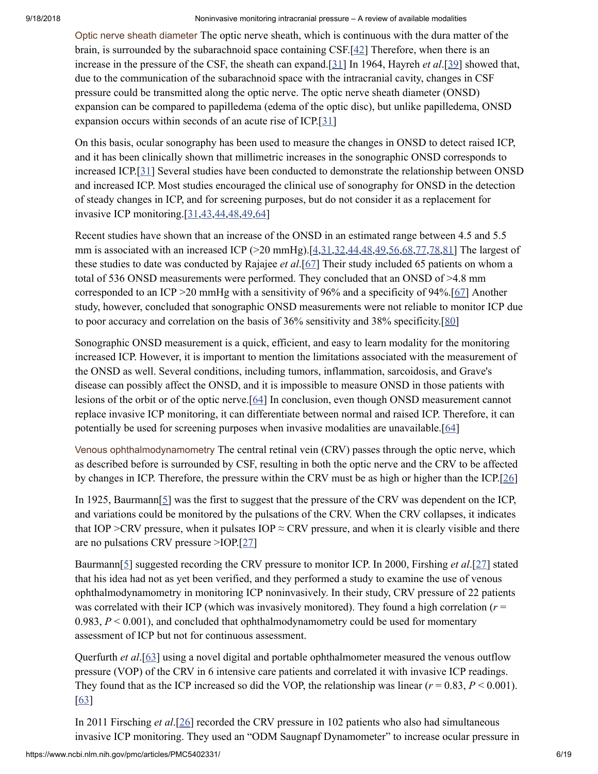Optic nerve sheath diameter The optic nerve sheath, which is continuous with the dura matter of the brain, is surrounded by the subarachnoid space containing CSF.[\[42](#page-16-2)] Therefore, when there is an increase in the pressure of the CSF, the sheath can expand.[\[31](#page-15-2)] In 1964, Hayreh *et al*.[\[39\]](#page-15-3) showed that, due to the communication of the subarachnoid space with the intracranial cavity, changes in CSF pressure could be transmitted along the optic nerve. The optic nerve sheath diameter (ONSD) expansion can be compared to papilledema (edema of the optic disc), but unlike papilledema, ONSD expansion occurs within seconds of an acute rise of ICP.[[31](#page-15-2)]

On this basis, ocular sonography has been used to measure the changes in ONSD to detect raised ICP, and it has been clinically shown that millimetric increases in the sonographic ONSD corresponds to increased ICP.[[31\]](#page-15-2) Several studies have been conducted to demonstrate the relationship between ONSD and increased ICP. Most studies encouraged the clinical use of sonography for ONSD in the detection of steady changes in ICP, and for screening purposes, but do not consider it as a replacement for invasive ICP monitoring.[\[31](#page-15-2)[,43](#page-16-3),[44](#page-16-4),[48,](#page-16-5)[49](#page-16-0)[,64\]](#page-17-1)

Recent studies have shown that an increase of the ONSD in an estimated range between 4.5 and 5.5 mm is associated with an increased ICP  $(>20 \text{ mmHg})$ . [\[4](#page-13-0),[31,](#page-15-2)[32](#page-15-4)[,44,](#page-16-4)[48](#page-16-5)[,49](#page-16-0)[,56](#page-16-6),[68](#page-17-6),[77,](#page-18-2)[78,](#page-18-3)[81\]](#page-18-4) The largest of these studies to date was conducted by Rajajee *et al*.[[67\]](#page-17-7) Their study included 65 patients on whom a total of 536 ONSD measurements were performed. They concluded that an ONSD of >4.8 mm corresponded to an ICP >20 mmHg with a sensitivity of 96% and a specificity of 94%.[\[67](#page-17-7)] Another study, however, concluded that sonographic ONSD measurements were not reliable to monitor ICP due to poor accuracy and correlation on the basis of 36% sensitivity and 38% specificity.[[80\]](#page-18-5)

Sonographic ONSD measurement is a quick, efficient, and easy to learn modality for the monitoring increased ICP. However, it is important to mention the limitations associated with the measurement of the ONSD as well. Several conditions, including tumors, inflammation, sarcoidosis, and Grave's disease can possibly affect the ONSD, and it is impossible to measure ONSD in those patients with lesions of the orbit or of the optic nerve.[[64\]](#page-17-1) In conclusion, even though ONSD measurement cannot replace invasive ICP monitoring, it can differentiate between normal and raised ICP. Therefore, it can potentially be used for screening purposes when invasive modalities are unavailable.[[64](#page-17-1)]

Venous ophthalmodynamometry The central retinal vein (CRV) passes through the optic nerve, which as described before is surrounded by CSF, resulting in both the optic nerve and the CRV to be affected by changes in ICP. Therefore, the pressure within the CRV must be as high or higher than the ICP.[\[26](#page-15-5)]

In 1925, Baurmann [\[5\]](#page-13-1) was the first to suggest that the pressure of the CRV was dependent on the ICP, and variations could be monitored by the pulsations of the CRV. When the CRV collapses, it indicates that IOP >CRV pressure, when it pulsates IOP  $\approx$  CRV pressure, and when it is clearly visible and there are no pulsations CRV pressure >IOP.[\[27](#page-15-6)]

Baurmann[[5](#page-13-1)] suggested recording the CRV pressure to monitor ICP. In 2000, Firshing *et al*.[[27\]](#page-15-6) stated that his idea had not as yet been verified, and they performed a study to examine the use of venous ophthalmodynamometry in monitoring ICP noninvasively. In their study, CRV pressure of 22 patients was correlated with their ICP (which was invasively monitored). They found a high correlation ( $r =$ 0.983, *P* < 0.001), and concluded that ophthalmodynamometry could be used for momentary assessment of ICP but not for continuous assessment.

Querfurth *et al*.[\[63](#page-17-8)] using a novel digital and portable ophthalmometer measured the venous outflow pressure (VOP) of the CRV in 6 intensive care patients and correlated it with invasive ICP readings. They found that as the ICP increased so did the VOP, the relationship was linear  $(r = 0.83, P < 0.001)$ . [\[63](#page-17-8)]

In 2011 Firsching *et al*.[[26\]](#page-15-5) recorded the CRV pressure in 102 patients who also had simultaneous invasive ICP monitoring. They used an "ODM Saugnapf Dynamometer" to increase ocular pressure in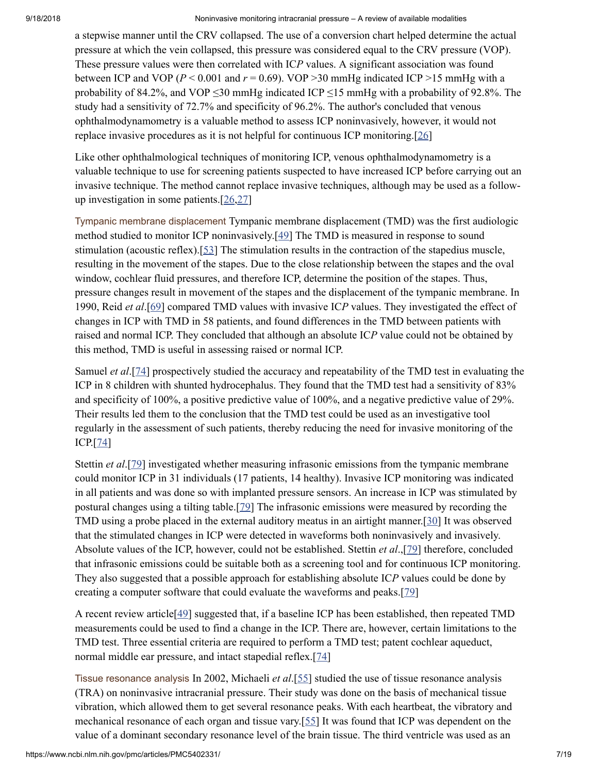a stepwise manner until the CRV collapsed. The use of a conversion chart helped determine the actual pressure at which the vein collapsed, this pressure was considered equal to the CRV pressure (VOP). These pressure values were then correlated with IC*P* values. A significant association was found between ICP and VOP ( $P < 0.001$  and  $r = 0.69$ ). VOP >30 mmHg indicated ICP >15 mmHg with a probability of 84.2%, and VOP  $\leq$ 30 mmHg indicated ICP  $\leq$ 15 mmHg with a probability of 92.8%. The study had a sensitivity of 72.7% and specificity of 96.2%. The author's concluded that venous ophthalmodynamometry is a valuable method to assess ICP noninvasively, however, it would not replace invasive procedures as it is not helpful for continuous ICP monitoring.[[26](#page-15-5)]

Like other ophthalmological techniques of monitoring ICP, venous ophthalmodynamometry is a valuable technique to use for screening patients suspected to have increased ICP before carrying out an invasive technique. The method cannot replace invasive techniques, although may be used as a followup investigation in some patients.[\[26,](#page-15-5)[27](#page-15-6)]

Tympanic membrane displacement Tympanic membrane displacement (TMD) was the first audiologic method studied to monitor ICP noninvasively.[[49\]](#page-16-0) The TMD is measured in response to sound stimulation (acoustic reflex).[\[53](#page-16-7)] The stimulation results in the contraction of the stapedius muscle, resulting in the movement of the stapes. Due to the close relationship between the stapes and the oval window, cochlear fluid pressures, and therefore ICP, determine the position of the stapes. Thus, pressure changes result in movement of the stapes and the displacement of the tympanic membrane. In 1990, Reid *et al*.[\[69](#page-17-9)] compared TMD values with invasive IC*P* values. They investigated the effect of changes in ICP with TMD in 58 patients, and found differences in the TMD between patients with raised and normal ICP. They concluded that although an absolute IC*P* value could not be obtained by this method, TMD is useful in assessing raised or normal ICP.

Samuel *et al*.[[74\]](#page-18-6) prospectively studied the accuracy and repeatability of the TMD test in evaluating the ICP in 8 children with shunted hydrocephalus. They found that the TMD test had a sensitivity of 83% and specificity of 100%, a positive predictive value of 100%, and a negative predictive value of 29%. Their results led them to the conclusion that the TMD test could be used as an investigative tool regularly in the assessment of such patients, thereby reducing the need for invasive monitoring of the ICP.[\[74](#page-18-6)]

Stettin *et al*.[\[79\]](#page-18-7) investigated whether measuring infrasonic emissions from the tympanic membrane could monitor ICP in 31 individuals (17 patients, 14 healthy). Invasive ICP monitoring was indicated in all patients and was done so with implanted pressure sensors. An increase in ICP was stimulated by postural changes using a tilting table.[\[79\]](#page-18-7) The infrasonic emissions were measured by recording the TMD using a probe placed in the external auditory meatus in an airtight manner.[\[30](#page-15-7)] It was observed that the stimulated changes in ICP were detected in waveforms both noninvasively and invasively. Absolute values of the ICP, however, could not be established. Stettin *et al*.,[[79\]](#page-18-7) therefore, concluded that infrasonic emissions could be suitable both as a screening tool and for continuous ICP monitoring. They also suggested that a possible approach for establishing absolute IC*P* values could be done by creating a computer software that could evaluate the waveforms and peaks.[[79](#page-18-7)]

A recent review article[[49\]](#page-16-0) suggested that, if a baseline ICP has been established, then repeated TMD measurements could be used to find a change in the ICP. There are, however, certain limitations to the TMD test. Three essential criteria are required to perform a TMD test; patent cochlear aqueduct, normal middle ear pressure, and intact stapedial reflex.[\[74](#page-18-6)]

Tissue resonance analysis In 2002, Michaeli *et al*.[[55\]](#page-16-8) studied the use of tissue resonance analysis (TRA) on noninvasive intracranial pressure. Their study was done on the basis of mechanical tissue vibration, which allowed them to get several resonance peaks. With each heartbeat, the vibratory and mechanical resonance of each organ and tissue vary.[\[55](#page-16-8)] It was found that ICP was dependent on the value of a dominant secondary resonance level of the brain tissue. The third ventricle was used as an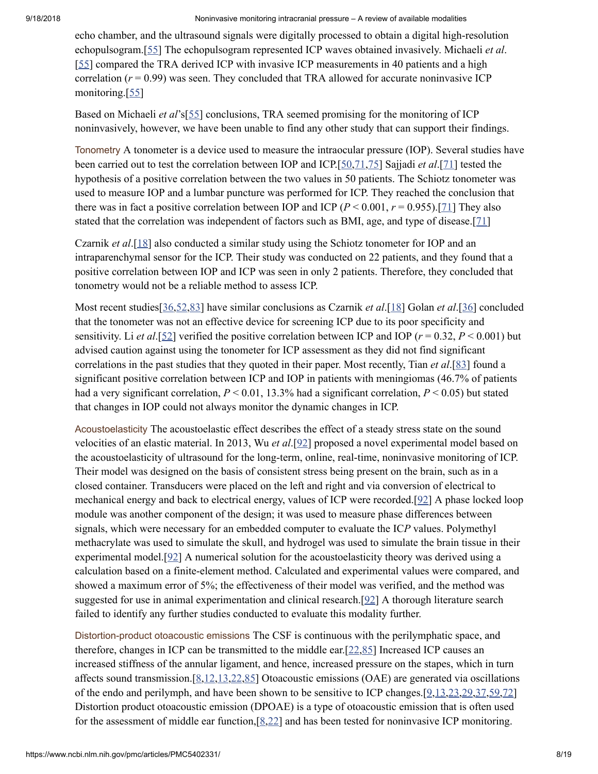echo chamber, and the ultrasound signals were digitally processed to obtain a digital high-resolution echopulsogram.[[55](#page-16-8)] The echopulsogram represented ICP waves obtained invasively. Michaeli *et al*. [\[55](#page-16-8)] compared the TRA derived ICP with invasive ICP measurements in 40 patients and a high correlation  $(r = 0.99)$  was seen. They concluded that TRA allowed for accurate noninvasive ICP monitoring.[\[55](#page-16-8)]

Based on Michaeli *et al*'s[\[55\]](#page-16-8) conclusions, TRA seemed promising for the monitoring of ICP noninvasively, however, we have been unable to find any other study that can support their findings.

Tonometry A tonometer is a device used to measure the intraocular pressure (IOP). Several studies have been carried out to test the correlation between IOP and ICP.[[50,](#page-16-9)[71](#page-17-10)[,75](#page-18-8)] Sajjadi *et al*.[\[71](#page-17-10)] tested the hypothesis of a positive correlation between the two values in 50 patients. The Schiotz tonometer was used to measure IOP and a lumbar puncture was performed for ICP. They reached the conclusion that there was in fact a positive correlation between IOP and ICP  $(P < 0.001, r = 0.955)$ .[\[71](#page-17-10)] They also stated that the correlation was independent of factors such as BMI, age, and type of disease.[[71\]](#page-17-10)

Czarnik *et al*.[[18\]](#page-14-3) also conducted a similar study using the Schiotz tonometer for IOP and an intraparenchymal sensor for the ICP. Their study was conducted on 22 patients, and they found that a positive correlation between IOP and ICP was seen in only 2 patients. Therefore, they concluded that tonometry would not be a reliable method to assess ICP.

Most recent studies[\[36](#page-15-8)[,52](#page-16-10)[,83](#page-18-9)] have similar conclusions as Czarnik *et al*.[\[18](#page-14-3)] Golan *et al*.[[36\]](#page-15-8) concluded that the tonometer was not an effective device for screening ICP due to its poor specificity and sensitivity. Li *et al*.[[52\]](#page-16-10) verified the positive correlation between ICP and IOP (*r* = 0.32, *P* < 0.001) but advised caution against using the tonometer for ICP assessment as they did not find significant correlations in the past studies that they quoted in their paper. Most recently, Tian *et al*.[[83\]](#page-18-9) found a significant positive correlation between ICP and IOP in patients with meningiomas (46.7% of patients had a very significant correlation,  $P < 0.01$ , 13.3% had a significant correlation,  $P < 0.05$ ) but stated that changes in IOP could not always monitor the dynamic changes in ICP.

Acoustoelasticity The acoustoelastic effect describes the effect of a steady stress state on the sound velocities of an elastic material. In 2013, Wu *et al*.[\[92\]](#page-19-2) proposed a novel experimental model based on the acoustoelasticity of ultrasound for the long-term, online, real-time, noninvasive monitoring of ICP. Their model was designed on the basis of consistent stress being present on the brain, such as in a closed container. Transducers were placed on the left and right and via conversion of electrical to mechanical energy and back to electrical energy, values of ICP were recorded.[[92\]](#page-19-2) A phase locked loop module was another component of the design; it was used to measure phase differences between signals, which were necessary for an embedded computer to evaluate the IC*P* values. Polymethyl methacrylate was used to simulate the skull, and hydrogel was used to simulate the brain tissue in their experimental model.[[92\]](#page-19-2) A numerical solution for the acoustoelasticity theory was derived using a calculation based on a finite-element method. Calculated and experimental values were compared, and showed a maximum error of 5%; the effectiveness of their model was verified, and the method was suggested for use in animal experimentation and clinical research.[\[92](#page-19-2)] A thorough literature search failed to identify any further studies conducted to evaluate this modality further.

Distortion-product otoacoustic emissions The CSF is continuous with the perilymphatic space, and therefore, changes in ICP can be transmitted to the middle ear.[\[22](#page-14-4),[85\]](#page-18-10) Increased ICP causes an increased stiffness of the annular ligament, and hence, increased pressure on the stapes, which in turn affects sound transmission.[\[8](#page-14-5),[12](#page-14-6),[13](#page-14-7)[,22](#page-14-4)[,85](#page-18-10)] Otoacoustic emissions (OAE) are generated via oscillations of the endo and perilymph, and have been shown to be sensitive to ICP changes.[\[9](#page-14-8)[,13](#page-14-7)[,23](#page-15-9)[,29](#page-15-10)[,37](#page-15-11),[59,](#page-17-11)[72\]](#page-17-12) Distortion product otoacoustic emission (DPOAE) is a type of otoacoustic emission that is often used for the assessment of middle ear function, $[8,22]$  $[8,22]$  and has been tested for noninvasive ICP monitoring.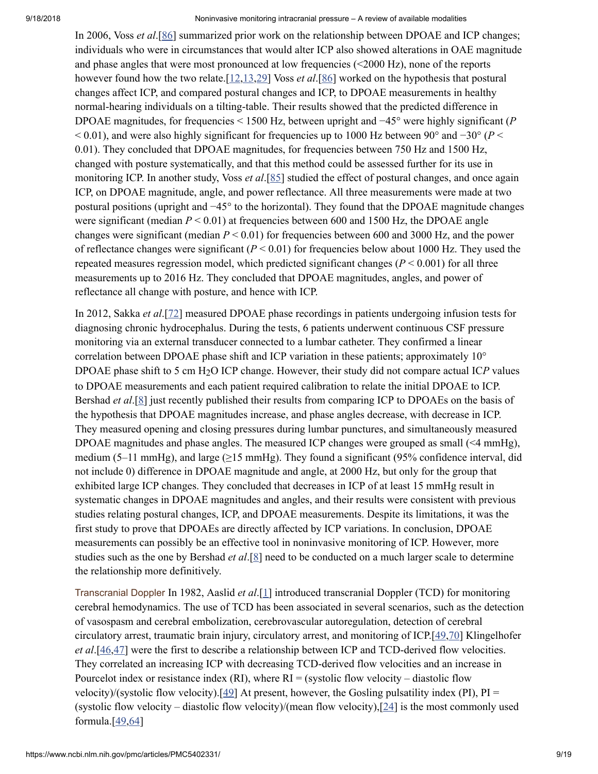In 2006, Voss *et al*.[[86\]](#page-18-11) summarized prior work on the relationship between DPOAE and ICP changes; individuals who were in circumstances that would alter ICP also showed alterations in OAE magnitude and phase angles that were most pronounced at low frequencies (<2000 Hz), none of the reports however found how the two relate.[\[12](#page-14-6),[13,](#page-14-7)[29\]](#page-15-10) Voss *et al*.[\[86](#page-18-11)] worked on the hypothesis that postural changes affect ICP, and compared postural changes and ICP, to DPOAE measurements in healthy normal-hearing individuals on a tilting-table. Their results showed that the predicted difference in DPOAE magnitudes, for frequencies < 1500 Hz, between upright and −45° were highly significant (*P*  $< 0.01$ ), and were also highly significant for frequencies up to 1000 Hz between 90° and  $-30^{\circ}$  (*P*  $<$ 0.01). They concluded that DPOAE magnitudes, for frequencies between 750 Hz and 1500 Hz, changed with posture systematically, and that this method could be assessed further for its use in monitoring ICP. In another study, Voss *et al*.[[85\]](#page-18-10) studied the effect of postural changes, and once again ICP, on DPOAE magnitude, angle, and power reflectance. All three measurements were made at two postural positions (upright and −45° to the horizontal). They found that the DPOAE magnitude changes were significant (median  $P < 0.01$ ) at frequencies between 600 and 1500 Hz, the DPOAE angle changes were significant (median *P* < 0.01) for frequencies between 600 and 3000 Hz, and the power of reflectance changes were significant  $(P < 0.01)$  for frequencies below about 1000 Hz. They used the repeated measures regression model, which predicted significant changes  $(P < 0.001)$  for all three measurements up to 2016 Hz. They concluded that DPOAE magnitudes, angles, and power of reflectance all change with posture, and hence with ICP.

In 2012, Sakka *et al*.[\[72](#page-17-12)] measured DPOAE phase recordings in patients undergoing infusion tests for diagnosing chronic hydrocephalus. During the tests, 6 patients underwent continuous CSF pressure monitoring via an external transducer connected to a lumbar catheter. They confirmed a linear correlation between DPOAE phase shift and ICP variation in these patients; approximately 10° DPOAE phase shift to 5 cm H<sub>2</sub>O ICP change. However, their study did not compare actual ICP values to DPOAE measurements and each patient required calibration to relate the initial DPOAE to ICP. Bershad *et al*.[\[8](#page-14-5)] just recently published their results from comparing ICP to DPOAEs on the basis of the hypothesis that DPOAE magnitudes increase, and phase angles decrease, with decrease in ICP. They measured opening and closing pressures during lumbar punctures, and simultaneously measured DPOAE magnitudes and phase angles. The measured ICP changes were grouped as small (<4 mmHg), medium (5–11 mmHg), and large ( $\geq$ 15 mmHg). They found a significant (95% confidence interval, did not include 0) difference in DPOAE magnitude and angle, at 2000 Hz, but only for the group that exhibited large ICP changes. They concluded that decreases in ICP of at least 15 mmHg result in systematic changes in DPOAE magnitudes and angles, and their results were consistent with previous studies relating postural changes, ICP, and DPOAE measurements. Despite its limitations, it was the first study to prove that DPOAEs are directly affected by ICP variations. In conclusion, DPOAE measurements can possibly be an effective tool in noninvasive monitoring of ICP. However, more studies such as the one by Bershad *et al*.[\[8\]](#page-14-5) need to be conducted on a much larger scale to determine the relationship more definitively.

Transcranial Doppler In 1982, Aaslid *et al*.[\[1\]](#page-13-2) introduced transcranial Doppler (TCD) for monitoring cerebral hemodynamics. The use of TCD has been associated in several scenarios, such as the detection of vasospasm and cerebral embolization, cerebrovascular autoregulation, detection of cerebral circulatory arrest, traumatic brain injury, circulatory arrest, and monitoring of ICP.[[49,](#page-16-0)[70\]](#page-17-13) Klingelhofer *et al*.[[46](#page-16-11)[,47\]](#page-16-12) were the first to describe a relationship between ICP and TCD-derived flow velocities. They correlated an increasing ICP with decreasing TCD-derived flow velocities and an increase in Pourcelot index or resistance index (RI), where  $RI =$  (systolic flow velocity – diastolic flow velocity)/(systolic flow velocity).[[49\]](#page-16-0) At present, however, the Gosling pulsatility index (PI),  $PI =$ (systolic flow velocity – diastolic flow velocity)/(mean flow velocity),[[24\]](#page-15-12) is the most commonly used formula. $[49,64]$  $[49,64]$  $[49,64]$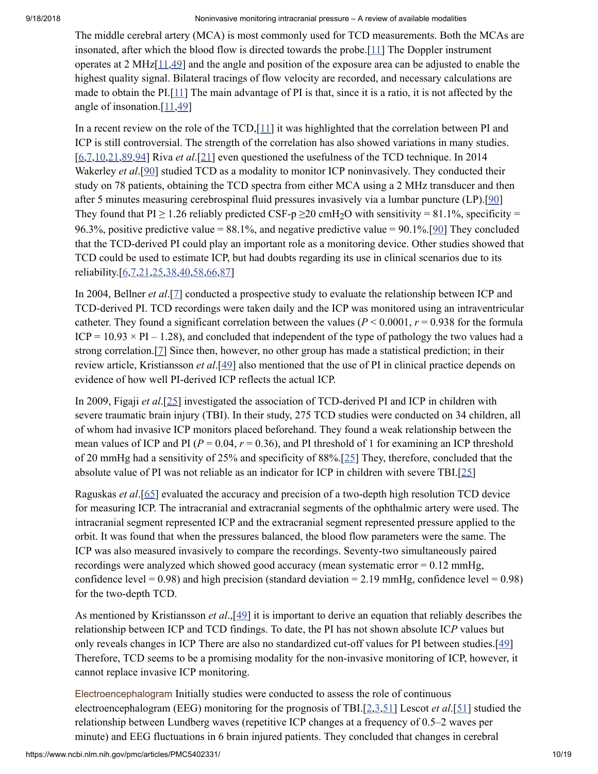The middle cerebral artery (MCA) is most commonly used for TCD measurements. Both the MCAs are insonated, after which the blood flow is directed towards the probe.[[11](#page-14-9)] The Doppler instrument operates at 2 MHz[\[11](#page-14-9)[,49](#page-16-0)] and the angle and position of the exposure area can be adjusted to enable the highest quality signal. Bilateral tracings of flow velocity are recorded, and necessary calculations are made to obtain the PI.[\[11\]](#page-14-9) The main advantage of PI is that, since it is a ratio, it is not affected by the angle of insonation.[\[11,](#page-14-9)[49\]](#page-16-0)

In a recent review on the role of the TCD,[\[11](#page-14-9)] it was highlighted that the correlation between PI and ICP is still controversial. The strength of the correlation has also showed variations in many studies. [\[6,](#page-13-3)[7](#page-14-10)[,10](#page-14-11),[21,](#page-14-12)[89,](#page-18-12)[94\]](#page-19-3) Riva *et al*.[[21\]](#page-14-12) even questioned the usefulness of the TCD technique. In 2014 Wakerley *et al*.[[90\]](#page-19-4) studied TCD as a modality to monitor ICP noninvasively. They conducted their study on 78 patients, obtaining the TCD spectra from either MCA using a 2 MHz transducer and then after 5 minutes measuring cerebrospinal fluid pressures invasively via a lumbar puncture (LP).[\[90](#page-19-4)] They found that  $PI \ge 1.26$  reliably predicted CSF-p  $\ge 20$  cmH<sub>2</sub>O with sensitivity = 81.1%, specificity = 96.3%, positive predictive value =  $88.1\%$ , and negative predictive value =  $90.1\%$ .[\[90](#page-19-4)] They concluded that the TCD-derived PI could play an important role as a monitoring device. Other studies showed that TCD could be used to estimate ICP, but had doubts regarding its use in clinical scenarios due to its reliability.[\[6](#page-13-3),[7](#page-14-10)[,21](#page-14-12)[,25](#page-15-13),[38,](#page-15-14)[40,](#page-16-13)[58](#page-17-14)[,66,](#page-17-15)[87](#page-18-13)]

In 2004, Bellner *et al*.[\[7](#page-14-10)] conducted a prospective study to evaluate the relationship between ICP and TCD-derived PI. TCD recordings were taken daily and the ICP was monitored using an intraventricular catheter. They found a significant correlation between the values ( $P < 0.0001$ ,  $r = 0.938$  for the formula  $ICP = 10.93 \times PI - 1.28$ , and concluded that independent of the type of pathology the two values had a strong correlation.[[7](#page-14-10)] Since then, however, no other group has made a statistical prediction; in their review article, Kristiansson *et al*.[\[49](#page-16-0)] also mentioned that the use of PI in clinical practice depends on evidence of how well PI-derived ICP reflects the actual ICP.

In 2009, Figaji *et al*.[[25](#page-15-13)] investigated the association of TCD-derived PI and ICP in children with severe traumatic brain injury (TBI). In their study, 275 TCD studies were conducted on 34 children, all of whom had invasive ICP monitors placed beforehand. They found a weak relationship between the mean values of ICP and PI ( $P = 0.04$ ,  $r = 0.36$ ), and PI threshold of 1 for examining an ICP threshold of 20 mmHg had a sensitivity of 25% and specificity of 88%.[[25\]](#page-15-13) They, therefore, concluded that the absolute value of PI was not reliable as an indicator for ICP in children with severe TBI.[\[25](#page-15-13)]

Raguskas *et al*.[[65\]](#page-17-16) evaluated the accuracy and precision of a two-depth high resolution TCD device for measuring ICP. The intracranial and extracranial segments of the ophthalmic artery were used. The intracranial segment represented ICP and the extracranial segment represented pressure applied to the orbit. It was found that when the pressures balanced, the blood flow parameters were the same. The ICP was also measured invasively to compare the recordings. Seventy-two simultaneously paired recordings were analyzed which showed good accuracy (mean systematic error  $= 0.12$  mmHg, confidence level =  $0.98$ ) and high precision (standard deviation =  $2.19$  mmHg, confidence level =  $0.98$ ) for the two-depth TCD.

As mentioned by Kristiansson *et al*.,[\[49](#page-16-0)] it is important to derive an equation that reliably describes the relationship between ICP and TCD findings. To date, the PI has not shown absolute IC*P* values but only reveals changes in ICP There are also no standardized cut-off values for PI between studies.[[49\]](#page-16-0) Therefore, TCD seems to be a promising modality for the non-invasive monitoring of ICP, however, it cannot replace invasive ICP monitoring.

Electroencephalogram Initially studies were conducted to assess the role of continuous electroencephalogram (EEG) monitoring for the prognosis of TBI.[\[2](#page-13-4),[3](#page-13-5)[,51](#page-16-14)] Lescot *et al*.[[51\]](#page-16-14) studied the relationship between Lundberg waves (repetitive ICP changes at a frequency of 0.5–2 waves per minute) and EEG fluctuations in 6 brain injured patients. They concluded that changes in cerebral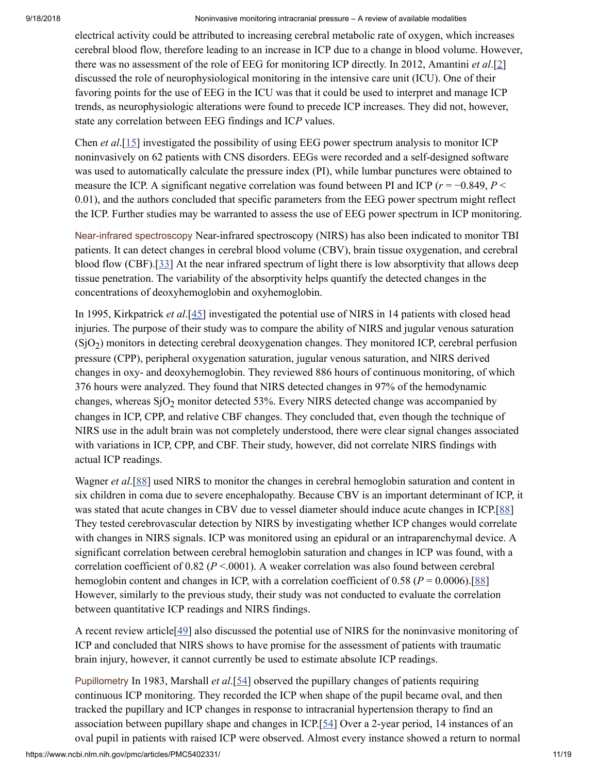electrical activity could be attributed to increasing cerebral metabolic rate of oxygen, which increases cerebral blood flow, therefore leading to an increase in ICP due to a change in blood volume. However, there was no assessment of the role of EEG for monitoring ICP directly. In 2012, Amantini *et al*.[\[2\]](#page-13-4) discussed the role of neurophysiological monitoring in the intensive care unit (ICU). One of their favoring points for the use of EEG in the ICU was that it could be used to interpret and manage ICP trends, as neurophysiologic alterations were found to precede ICP increases. They did not, however, state any correlation between EEG findings and IC*P* values.

Chen *et al*.[[15\]](#page-14-13) investigated the possibility of using EEG power spectrum analysis to monitor ICP noninvasively on 62 patients with CNS disorders. EEGs were recorded and a self-designed software was used to automatically calculate the pressure index (PI), while lumbar punctures were obtained to measure the ICP. A significant negative correlation was found between PI and ICP ( $r = -0.849$ ,  $P <$ 0.01), and the authors concluded that specific parameters from the EEG power spectrum might reflect the ICP. Further studies may be warranted to assess the use of EEG power spectrum in ICP monitoring.

Near-infrared spectroscopy Near-infrared spectroscopy (NIRS) has also been indicated to monitor TBI patients. It can detect changes in cerebral blood volume (CBV), brain tissue oxygenation, and cerebral blood flow (CBF).[[33\]](#page-15-15) At the near infrared spectrum of light there is low absorptivity that allows deep tissue penetration. The variability of the absorptivity helps quantify the detected changes in the concentrations of deoxyhemoglobin and oxyhemoglobin.

In 1995, Kirkpatrick *et al*.[\[45](#page-16-15)] investigated the potential use of NIRS in 14 patients with closed head injuries. The purpose of their study was to compare the ability of NIRS and jugular venous saturation  $(SjO<sub>2</sub>)$  monitors in detecting cerebral deoxygenation changes. They monitored ICP, cerebral perfusion pressure (CPP), peripheral oxygenation saturation, jugular venous saturation, and NIRS derived changes in oxy- and deoxyhemoglobin. They reviewed 886 hours of continuous monitoring, of which 376 hours were analyzed. They found that NIRS detected changes in 97% of the hemodynamic changes, whereas  $\text{SiO}_2$  monitor detected 53%. Every NIRS detected change was accompanied by changes in ICP, CPP, and relative CBF changes. They concluded that, even though the technique of NIRS use in the adult brain was not completely understood, there were clear signal changes associated with variations in ICP, CPP, and CBF. Their study, however, did not correlate NIRS findings with actual ICP readings.

Wagner *et al*.[\[88](#page-18-14)] used NIRS to monitor the changes in cerebral hemoglobin saturation and content in six children in coma due to severe encephalopathy. Because CBV is an important determinant of ICP, it was stated that acute changes in CBV due to vessel diameter should induce acute changes in ICP.[\[88](#page-18-14)] They tested cerebrovascular detection by NIRS by investigating whether ICP changes would correlate with changes in NIRS signals. ICP was monitored using an epidural or an intraparenchymal device. A significant correlation between cerebral hemoglobin saturation and changes in ICP was found, with a correlation coefficient of  $0.82$  ( $P < .0001$ ). A weaker correlation was also found between cerebral hemoglobin content and changes in ICP, with a correlation coefficient of 0.58 ( $P = 0.0006$ ).[\[88](#page-18-14)] However, similarly to the previous study, their study was not conducted to evaluate the correlation between quantitative ICP readings and NIRS findings.

A recent review article[[49\]](#page-16-0) also discussed the potential use of NIRS for the noninvasive monitoring of ICP and concluded that NIRS shows to have promise for the assessment of patients with traumatic brain injury, however, it cannot currently be used to estimate absolute ICP readings.

Pupillometry In 1983, Marshall *et al*.[[54\]](#page-16-16) observed the pupillary changes of patients requiring continuous ICP monitoring. They recorded the ICP when shape of the pupil became oval, and then tracked the pupillary and ICP changes in response to intracranial hypertension therapy to find an association between pupillary shape and changes in ICP.[[54\]](#page-16-16) Over a 2-year period, 14 instances of an oval pupil in patients with raised ICP were observed. Almost every instance showed a return to normal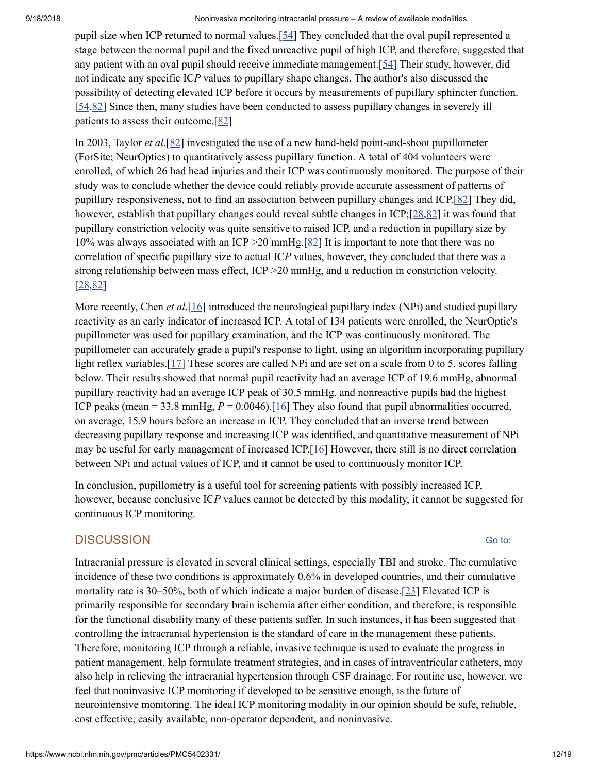pupil size when ICP returned to normal values.[\[54](#page-16-16)] They concluded that the oval pupil represented a stage between the normal pupil and the fixed unreactive pupil of high ICP, and therefore, suggested that any patient with an oval pupil should receive immediate management.[[54\]](#page-16-16) Their study, however, did not indicate any specific IC*P* values to pupillary shape changes. The author's also discussed the possibility of detecting elevated ICP before it occurs by measurements of pupillary sphincter function. [\[54](#page-16-16)[,82](#page-18-15)] Since then, many studies have been conducted to assess pupillary changes in severely ill patients to assess their outcome.[\[82](#page-18-15)]

In 2003, Taylor *et al*.[[82\]](#page-18-15) investigated the use of a new hand-held point-and-shoot pupillometer (ForSite; NeurOptics) to quantitatively assess pupillary function. A total of 404 volunteers were enrolled, of which 26 had head injuries and their ICP was continuously monitored. The purpose of their study was to conclude whether the device could reliably provide accurate assessment of patterns of pupillary responsiveness, not to find an association between pupillary changes and ICP.[\[82](#page-18-15)] They did, however, establish that pupillary changes could reveal subtle changes in ICP;[[28,](#page-15-16)[82\]](#page-18-15) it was found that pupillary constriction velocity was quite sensitive to raised ICP, and a reduction in pupillary size by 10% was always associated with an ICP >20 mmHg.[[82](#page-18-15)] It is important to note that there was no correlation of specific pupillary size to actual IC*P* values, however, they concluded that there was a strong relationship between mass effect, ICP >20 mmHg, and a reduction in constriction velocity. [\[28](#page-15-16)[,82](#page-18-15)]

More recently, Chen *et al*.[\[16](#page-14-14)] introduced the neurological pupillary index (NPi) and studied pupillary reactivity as an early indicator of increased ICP. A total of 134 patients were enrolled, the NeurOptic's pupillometer was used for pupillary examination, and the ICP was continuously monitored. The pupillometer can accurately grade a pupil's response to light, using an algorithm incorporating pupillary light reflex variables.<sup>[[17](#page-14-15)]</sup> These scores are called NPi and are set on a scale from 0 to 5, scores falling below. Their results showed that normal pupil reactivity had an average ICP of 19.6 mmHg, abnormal pupillary reactivity had an average ICP peak of 30.5 mmHg, and nonreactive pupils had the highest ICP peaks (mean  $= 33.8$  mmHg,  $P = 0.0046$ ).[\[16](#page-14-14)] They also found that pupil abnormalities occurred, on average, 15.9 hours before an increase in ICP. They concluded that an inverse trend between decreasing pupillary response and increasing ICP was identified, and quantitative measurement of NPi may be useful for early management of increased ICP.[[16](#page-14-14)] However, there still is no direct correlation between NPi and actual values of ICP, and it cannot be used to continuously monitor ICP.

In conclusion, pupillometry is a useful tool for screening patients with possibly increased ICP, however, because conclusive IC*P* values cannot be detected by this modality, it cannot be suggested for continuous ICP monitoring.

## **DISCUSSION**

Intracranial pressure is elevated in several clinical settings, especially TBI and stroke. The cumulative incidence of these two conditions is approximately 0.6% in developed countries, and their cumulative mortality rate is 30–50%, both of which indicate a major burden of disease.[[23](#page-15-9)] Elevated ICP is primarily responsible for secondary brain ischemia after either condition, and therefore, is responsible for the functional disability many of these patients suffer. In such instances, it has been suggested that controlling the intracranial hypertension is the standard of care in the management these patients. Therefore, monitoring ICP through a reliable, invasive technique is used to evaluate the progress in patient management, help formulate treatment strategies, and in cases of intraventricular catheters, may also help in relieving the intracranial hypertension through CSF drainage. For routine use, however, we feel that noninvasive ICP monitoring if developed to be sensitive enough, is the future of neurointensive monitoring. The ideal ICP monitoring modality in our opinion should be safe, reliable, cost effective, easily available, non-operator dependent, and noninvasive.

Go to: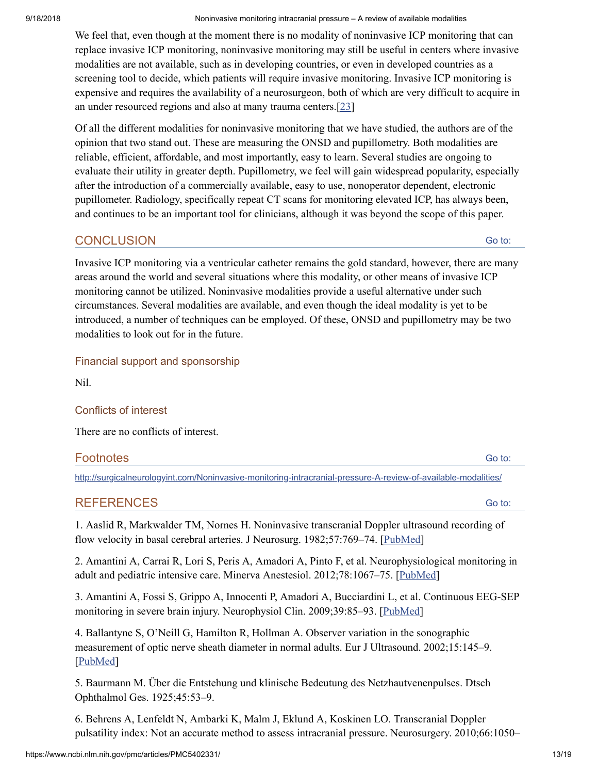We feel that, even though at the moment there is no modality of noninvasive ICP monitoring that can replace invasive ICP monitoring, noninvasive monitoring may still be useful in centers where invasive modalities are not available, such as in developing countries, or even in developed countries as a screening tool to decide, which patients will require invasive monitoring. Invasive ICP monitoring is expensive and requires the availability of a neurosurgeon, both of which are very difficult to acquire in an under resourced regions and also at many trauma centers.[\[23](#page-15-9)]

Of all the different modalities for noninvasive monitoring that we have studied, the authors are of the opinion that two stand out. These are measuring the ONSD and pupillometry. Both modalities are reliable, efficient, affordable, and most importantly, easy to learn. Several studies are ongoing to evaluate their utility in greater depth. Pupillometry, we feel will gain widespread popularity, especially after the introduction of a commercially available, easy to use, nonoperator dependent, electronic pupillometer. Radiology, specifically repeat CT scans for monitoring elevated ICP, has always been, and continues to be an important tool for clinicians, although it was beyond the scope of this paper.

# **CONCLUSION**

Go to:

Invasive ICP monitoring via a ventricular catheter remains the gold standard, however, there are many areas around the world and several situations where this modality, or other means of invasive ICP monitoring cannot be utilized. Noninvasive modalities provide a useful alternative under such circumstances. Several modalities are available, and even though the ideal modality is yet to be introduced, a number of techniques can be employed. Of these, ONSD and pupillometry may be two modalities to look out for in the future.

## Financial support and sponsorship

Nil.

## Conflicts of interest

There are no conflicts of interest.

| <b>Footnotes</b><br>$      -$ | $\sim$ to . |
|-------------------------------|-------------|
|                               |             |

<http://surgicalneurologyint.com/Noninvasive-monitoring-intracranial-pressure-A-review-of-available-modalities/>

## REFERENCES

<span id="page-13-2"></span>1. Aaslid R, Markwalder TM, Nornes H. Noninvasive transcranial Doppler ultrasound recording of flow velocity in basal cerebral arteries. J Neurosurg. 1982;57:769–74. [\[PubMed\]](https://www.ncbi.nlm.nih.gov/pubmed/7143059)

<span id="page-13-4"></span>2. Amantini A, Carrai R, Lori S, Peris A, Amadori A, Pinto F, et al. Neurophysiological monitoring in adult and pediatric intensive care. Minerva Anestesiol. 2012;78:1067–75. [\[PubMed\]](https://www.ncbi.nlm.nih.gov/pubmed/22672930)

<span id="page-13-5"></span>3. Amantini A, Fossi S, Grippo A, Innocenti P, Amadori A, Bucciardini L, et al. Continuous EEG-SEP monitoring in severe brain injury. Neurophysiol Clin. 2009;39:85–93. [[PubMed\]](https://www.ncbi.nlm.nih.gov/pubmed/19467438)

<span id="page-13-0"></span>4. Ballantyne S, O'Neill G, Hamilton R, Hollman A. Observer variation in the sonographic measurement of optic nerve sheath diameter in normal adults. Eur J Ultrasound. 2002;15:145–9. [\[PubMed\]](https://www.ncbi.nlm.nih.gov/pubmed/12423741)

<span id="page-13-1"></span>5. Baurmann M. Über die Entstehung und klinische Bedeutung des Netzhautvenenpulses. Dtsch Ophthalmol Ges. 1925;45:53–9.

<span id="page-13-3"></span>6. Behrens A, Lenfeldt N, Ambarki K, Malm J, Eklund A, Koskinen LO. Transcranial Doppler pulsatility index: Not an accurate method to assess intracranial pressure. Neurosurgery. 2010;66:1050–

Go to: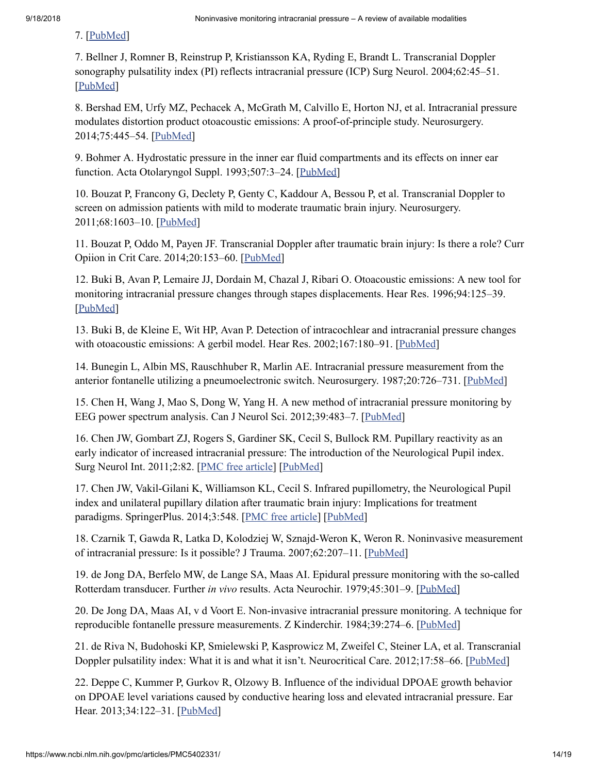## 7. [\[PubMed](https://www.ncbi.nlm.nih.gov/pubmed/20495421)]

<span id="page-14-10"></span>7. Bellner J, Romner B, Reinstrup P, Kristiansson KA, Ryding E, Brandt L. Transcranial Doppler sonography pulsatility index (PI) reflects intracranial pressure (ICP) Surg Neurol. 2004;62:45–51. [\[PubMed\]](https://www.ncbi.nlm.nih.gov/pubmed/15226070)

<span id="page-14-5"></span>8. Bershad EM, Urfy MZ, Pechacek A, McGrath M, Calvillo E, Horton NJ, et al. Intracranial pressure modulates distortion product otoacoustic emissions: A proof-of-principle study. Neurosurgery. 2014;75:445–54. [[PubMed](https://www.ncbi.nlm.nih.gov/pubmed/24871147)]

<span id="page-14-8"></span>9. Bohmer A. Hydrostatic pressure in the inner ear fluid compartments and its effects on inner ear function. Acta Otolaryngol Suppl. 1993;507:3–24. [\[PubMed\]](https://www.ncbi.nlm.nih.gov/pubmed/8273452)

<span id="page-14-11"></span>10. Bouzat P, Francony G, Declety P, Genty C, Kaddour A, Bessou P, et al. Transcranial Doppler to screen on admission patients with mild to moderate traumatic brain injury. Neurosurgery. 2011;68:1603–10. [[PubMed](https://www.ncbi.nlm.nih.gov/pubmed/21311381)]

<span id="page-14-9"></span>11. Bouzat P, Oddo M, Payen JF. Transcranial Doppler after traumatic brain injury: Is there a role? Curr Opiion in Crit Care. 2014;20:153–60. [\[PubMed\]](https://www.ncbi.nlm.nih.gov/pubmed/24531654)

<span id="page-14-6"></span>12. Buki B, Avan P, Lemaire JJ, Dordain M, Chazal J, Ribari O. Otoacoustic emissions: A new tool for monitoring intracranial pressure changes through stapes displacements. Hear Res. 1996;94:125–39. [\[PubMed\]](https://www.ncbi.nlm.nih.gov/pubmed/8789818)

<span id="page-14-7"></span>13. Buki B, de Kleine E, Wit HP, Avan P. Detection of intracochlear and intracranial pressure changes with otoacoustic emissions: A gerbil model. Hear Res. 2002;167:180-91. [\[PubMed\]](https://www.ncbi.nlm.nih.gov/pubmed/12117541)

<span id="page-14-0"></span>14. Bunegin L, Albin MS, Rauschhuber R, Marlin AE. Intracranial pressure measurement from the anterior fontanelle utilizing a pneumoelectronic switch. Neurosurgery. 1987;20:726–731. [[PubMed\]](https://www.ncbi.nlm.nih.gov/pubmed/3601018)

<span id="page-14-13"></span>15. Chen H, Wang J, Mao S, Dong W, Yang H. A new method of intracranial pressure monitoring by EEG power spectrum analysis. Can J Neurol Sci. 2012;39:483–7. [[PubMed](https://www.ncbi.nlm.nih.gov/pubmed/22728855)]

<span id="page-14-14"></span>16. Chen JW, Gombart ZJ, Rogers S, Gardiner SK, Cecil S, Bullock RM. Pupillary reactivity as an early indicator of increased intracranial pressure: The introduction of the Neurological Pupil index. Surg Neurol Int. 2011;2:82. [PMC free [article](https://www.ncbi.nlm.nih.gov/pmc/articles/PMC3130361/)] [[PubMed](https://www.ncbi.nlm.nih.gov/pubmed/21748035)]

<span id="page-14-15"></span>17. Chen JW, Vakil-Gilani K, Williamson KL, Cecil S. Infrared pupillometry, the Neurological Pupil index and unilateral pupillary dilation after traumatic brain injury: Implications for treatment paradigms. SpringerPlus. 2014;3:548. [PMC free [article\]](https://www.ncbi.nlm.nih.gov/pmc/articles/PMC4190183/) [\[PubMed](https://www.ncbi.nlm.nih.gov/pubmed/25332854)]

<span id="page-14-3"></span>18. Czarnik T, Gawda R, Latka D, Kolodziej W, Sznajd-Weron K, Weron R. Noninvasive measurement of intracranial pressure: Is it possible? J Trauma. 2007;62:207–11. [[PubMed\]](https://www.ncbi.nlm.nih.gov/pubmed/17215756)

<span id="page-14-2"></span>19. de Jong DA, Berfelo MW, de Lange SA, Maas AI. Epidural pressure monitoring with the so-called Rotterdam transducer. Further *in vivo* results. Acta Neurochir. 1979;45:301–9. [\[PubMed](https://www.ncbi.nlm.nih.gov/pubmed/425860)]

<span id="page-14-1"></span>20. De Jong DA, Maas AI, v d Voort E. Non-invasive intracranial pressure monitoring. A technique for reproducible fontanelle pressure measurements. Z Kinderchir. 1984;39:274–6. [\[PubMed\]](https://www.ncbi.nlm.nih.gov/pubmed/6495883)

<span id="page-14-12"></span>21. de Riva N, Budohoski KP, Smielewski P, Kasprowicz M, Zweifel C, Steiner LA, et al. Transcranial Doppler pulsatility index: What it is and what it isn't. Neurocritical Care. 2012;17:58–66. [[PubMed](https://www.ncbi.nlm.nih.gov/pubmed/22311229)]

<span id="page-14-4"></span>22. Deppe C, Kummer P, Gurkov R, Olzowy B. Influence of the individual DPOAE growth behavior on DPOAE level variations caused by conductive hearing loss and elevated intracranial pressure. Ear Hear. 2013;34:122–31. [\[PubMed\]](https://www.ncbi.nlm.nih.gov/pubmed/22968426)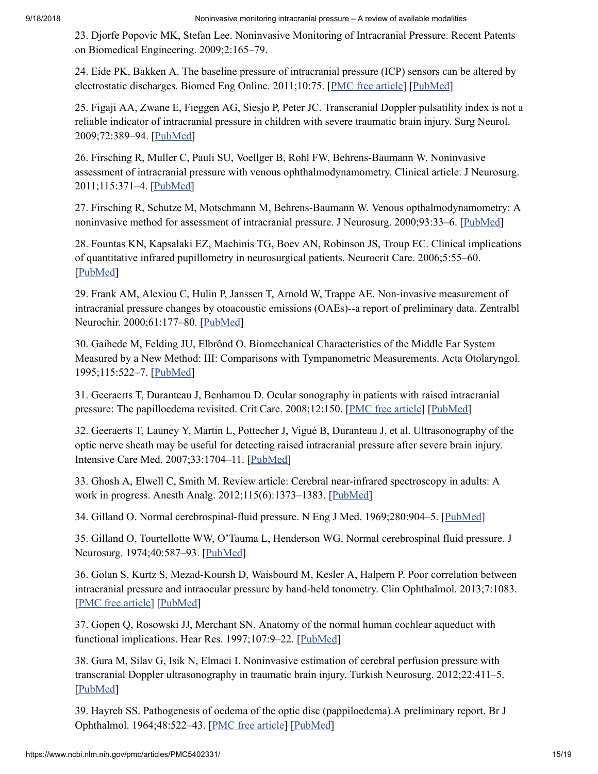<span id="page-15-9"></span>23. Djorfe Popovic MK, Stefan Lee. Noninvasive Monitoring of Intracranial Pressure. Recent Patents on Biomedical Engineering. 2009;2:165–79.

<span id="page-15-12"></span>24. Eide PK, Bakken A. The baseline pressure of intracranial pressure (ICP) sensors can be altered by electrostatic discharges. Biomed Eng Online. 2011;10:75. [PMC free [article\]](https://www.ncbi.nlm.nih.gov/pmc/articles/PMC3180435/) [[PubMed\]](https://www.ncbi.nlm.nih.gov/pubmed/21859487)

<span id="page-15-13"></span>25. Figaji AA, Zwane E, Fieggen AG, Siesjo P, Peter JC. Transcranial Doppler pulsatility index is not a reliable indicator of intracranial pressure in children with severe traumatic brain injury. Surg Neurol. 2009;72:389–94. [[PubMed](https://www.ncbi.nlm.nih.gov/pubmed/19608224)]

<span id="page-15-5"></span>26. Firsching R, Muller C, Pauli SU, Voellger B, Rohl FW, Behrens-Baumann W. Noninvasive assessment of intracranial pressure with venous ophthalmodynamometry. Clinical article. J Neurosurg. 2011;115:371–4. [[PubMed](https://www.ncbi.nlm.nih.gov/pubmed/21529131)]

<span id="page-15-6"></span>27. Firsching R, Schutze M, Motschmann M, Behrens-Baumann W. Venous opthalmodynamometry: A noninvasive method for assessment of intracranial pressure. J Neurosurg. 2000;93:33–6. [[PubMed\]](https://www.ncbi.nlm.nih.gov/pubmed/10883902)

<span id="page-15-16"></span>28. Fountas KN, Kapsalaki EZ, Machinis TG, Boev AN, Robinson JS, Troup EC. Clinical implications of quantitative infrared pupillometry in neurosurgical patients. Neurocrit Care. 2006;5:55–60. [\[PubMed\]](https://www.ncbi.nlm.nih.gov/pubmed/16960298)

<span id="page-15-10"></span>29. Frank AM, Alexiou C, Hulin P, Janssen T, Arnold W, Trappe AE. Non-invasive measurement of intracranial pressure changes by otoacoustic emissions (OAEs)--a report of preliminary data. Zentralbl Neurochir. 2000;61:177–80. [[PubMed](https://www.ncbi.nlm.nih.gov/pubmed/11392287)]

<span id="page-15-7"></span>30. Gaihede M, Felding JU, Elbrônd O. Biomechanical Characteristics of the Middle Ear System Measured by a New Method: III: Comparisons with Tympanometric Measurements. Acta Otolaryngol. 1995;115:522–7. [\[PubMed](https://www.ncbi.nlm.nih.gov/pubmed/7572129)]

<span id="page-15-2"></span>31. Geeraerts T, Duranteau J, Benhamou D. Ocular sonography in patients with raised intracranial pressure: The papilloedema revisited. Crit Care. 2008;12:150. [PMC free [article](https://www.ncbi.nlm.nih.gov/pmc/articles/PMC2481446/)] [[PubMed](https://www.ncbi.nlm.nih.gov/pubmed/18495051)]

<span id="page-15-4"></span>32. Geeraerts T, Launey Y, Martin L, Pottecher J, Vigué B, Duranteau J, et al. Ultrasonography of the optic nerve sheath may be useful for detecting raised intracranial pressure after severe brain injury. Intensive Care Med. 2007;33:1704–11. [[PubMed\]](https://www.ncbi.nlm.nih.gov/pubmed/17668184)

<span id="page-15-15"></span>33. Ghosh A, Elwell C, Smith M. Review article: Cerebral near-infrared spectroscopy in adults: A work in progress. Anesth Analg. 2012;115(6):1373–1383. [\[PubMed\]](https://www.ncbi.nlm.nih.gov/pubmed/23144435)

<span id="page-15-0"></span>34. Gilland O. Normal cerebrospinal-fluid pressure. N Eng J Med. 1969;280:904–5. [[PubMed](https://www.ncbi.nlm.nih.gov/pubmed/5775527)]

<span id="page-15-1"></span>35. Gilland O, Tourtellotte WW, O'Tauma L, Henderson WG. Normal cerebrospinal fluid pressure. J Neurosurg. 1974;40:587-93. [[PubMed](https://www.ncbi.nlm.nih.gov/pubmed/4817803)]

<span id="page-15-8"></span>36. Golan S, Kurtz S, Mezad-Koursh D, Waisbourd M, Kesler A, Halpern P. Poor correlation between intracranial pressure and intraocular pressure by hand-held tonometry. Clin Ophthalmol. 2013;7:1083. [PMC free [article\]](https://www.ncbi.nlm.nih.gov/pmc/articles/PMC3682855/) [\[PubMed](https://www.ncbi.nlm.nih.gov/pubmed/23785230)]

<span id="page-15-11"></span>37. Gopen Q, Rosowski JJ, Merchant SN. Anatomy of the normal human cochlear aqueduct with functional implications. Hear Res. 1997;107:9–22. [[PubMed](https://www.ncbi.nlm.nih.gov/pubmed/9165342)]

<span id="page-15-14"></span>38. Gura M, Silav G, Isik N, Elmaci I. Noninvasive estimation of cerebral perfusion pressure with transcranial Doppler ultrasonography in traumatic brain injury. Turkish Neurosurg. 2012;22:411–5. [\[PubMed\]](https://www.ncbi.nlm.nih.gov/pubmed/22843455)

<span id="page-15-3"></span>39. Hayreh SS. Pathogenesis of oedema of the optic disc (pappiloedema).A preliminary report. Br J Ophthalmol. 1964;48:522–43. [PMC free [article](https://www.ncbi.nlm.nih.gov/pmc/articles/PMC506011/)] [\[PubMed\]](https://www.ncbi.nlm.nih.gov/pubmed/14221776)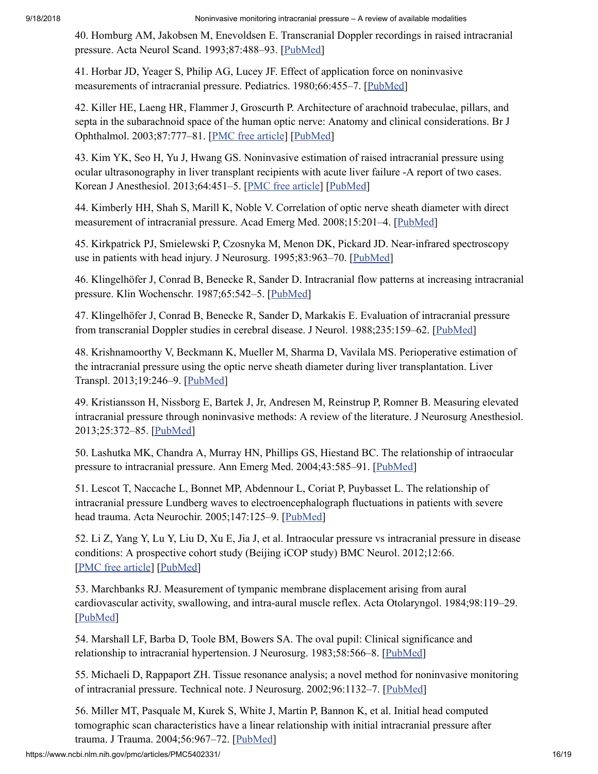<span id="page-16-13"></span>40. Homburg AM, Jakobsen M, Enevoldsen E. Transcranial Doppler recordings in raised intracranial pressure. Acta Neurol Scand. 1993;87:488–93. [\[PubMed\]](https://www.ncbi.nlm.nih.gov/pubmed/8356880)

<span id="page-16-1"></span>41. Horbar JD, Yeager S, Philip AG, Lucey JF. Effect of application force on noninvasive measurements of intracranial pressure. Pediatrics. 1980;66:455–7. [[PubMed](https://www.ncbi.nlm.nih.gov/pubmed/7422434)]

<span id="page-16-2"></span>42. Killer HE, Laeng HR, Flammer J, Groscurth P. Architecture of arachnoid trabeculae, pillars, and septa in the subarachnoid space of the human optic nerve: Anatomy and clinical considerations. Br J Ophthalmol. 2003;87:777–81. [PMC free [article](https://www.ncbi.nlm.nih.gov/pmc/articles/PMC1771732/)] [\[PubMed\]](https://www.ncbi.nlm.nih.gov/pubmed/12770980)

<span id="page-16-3"></span>43. Kim YK, Seo H, Yu J, Hwang GS. Noninvasive estimation of raised intracranial pressure using ocular ultrasonography in liver transplant recipients with acute liver failure -A report of two cases. Korean J Anesthesiol. 2013;64:451–5. [PMC free [article](https://www.ncbi.nlm.nih.gov/pmc/articles/PMC3668109/)] [[PubMed](https://www.ncbi.nlm.nih.gov/pubmed/23741570)]

<span id="page-16-4"></span>44. Kimberly HH, Shah S, Marill K, Noble V. Correlation of optic nerve sheath diameter with direct measurement of intracranial pressure. Acad Emerg Med. 2008;15:201–4. [\[PubMed\]](https://www.ncbi.nlm.nih.gov/pubmed/18275454)

<span id="page-16-15"></span>45. Kirkpatrick PJ, Smielewski P, Czosnyka M, Menon DK, Pickard JD. Near-infrared spectroscopy use in patients with head injury. J Neurosurg. 1995;83:963–70. [[PubMed](https://www.ncbi.nlm.nih.gov/pubmed/7490639)]

<span id="page-16-11"></span>46. Klingelhöfer J, Conrad B, Benecke R, Sander D. Intracranial flow patterns at increasing intracranial pressure. Klin Wochenschr. 1987;65:542–5. [\[PubMed\]](https://www.ncbi.nlm.nih.gov/pubmed/2957547)

<span id="page-16-12"></span>47. Klingelhöfer J, Conrad B, Benecke R, Sander D, Markakis E. Evaluation of intracranial pressure from transcranial Doppler studies in cerebral disease. J Neurol. 1988;235:159–62. [[PubMed](https://www.ncbi.nlm.nih.gov/pubmed/3284971)]

<span id="page-16-5"></span>48. Krishnamoorthy V, Beckmann K, Mueller M, Sharma D, Vavilala MS. Perioperative estimation of the intracranial pressure using the optic nerve sheath diameter during liver transplantation. Liver Transpl. 2013;19:246–9. [\[PubMed](https://www.ncbi.nlm.nih.gov/pubmed/23225529)]

<span id="page-16-0"></span>49. Kristiansson H, Nissborg E, Bartek J, Jr, Andresen M, Reinstrup P, Romner B. Measuring elevated intracranial pressure through noninvasive methods: A review of the literature. J Neurosurg Anesthesiol. 2013;25:372–85. [[PubMed](https://www.ncbi.nlm.nih.gov/pubmed/23715045)]

<span id="page-16-9"></span>50. Lashutka MK, Chandra A, Murray HN, Phillips GS, Hiestand BC. The relationship of intraocular pressure to intracranial pressure. Ann Emerg Med. 2004;43:585–91. [[PubMed](https://www.ncbi.nlm.nih.gov/pubmed/15111918)]

<span id="page-16-14"></span>51. Lescot T, Naccache L, Bonnet MP, Abdennour L, Coriat P, Puybasset L. The relationship of intracranial pressure Lundberg waves to electroencephalograph fluctuations in patients with severe head trauma. Acta Neurochir. 2005;147:125–9. [[PubMed\]](https://www.ncbi.nlm.nih.gov/pubmed/15570441)

<span id="page-16-10"></span>52. Li Z, Yang Y, Lu Y, Liu D, Xu E, Jia J, et al. Intraocular pressure vs intracranial pressure in disease conditions: A prospective cohort study (Beijing iCOP study) BMC Neurol. 2012;12:66. [PMC free [article\]](https://www.ncbi.nlm.nih.gov/pmc/articles/PMC3444958/) [\[PubMed](https://www.ncbi.nlm.nih.gov/pubmed/22862817)]

<span id="page-16-7"></span>53. Marchbanks RJ. Measurement of tympanic membrane displacement arising from aural cardiovascular activity, swallowing, and intra-aural muscle reflex. Acta Otolaryngol. 1984;98:119–29. [\[PubMed\]](https://www.ncbi.nlm.nih.gov/pubmed/6464714)

<span id="page-16-16"></span>54. Marshall LF, Barba D, Toole BM, Bowers SA. The oval pupil: Clinical significance and relationship to intracranial hypertension. J Neurosurg. 1983;58:566–8. [\[PubMed\]](https://www.ncbi.nlm.nih.gov/pubmed/6827351)

<span id="page-16-8"></span>55. Michaeli D, Rappaport ZH. Tissue resonance analysis; a novel method for noninvasive monitoring of intracranial pressure. Technical note. J Neurosurg. 2002;96:1132–7. [[PubMed](https://www.ncbi.nlm.nih.gov/pubmed/12066918)]

<span id="page-16-6"></span>56. Miller MT, Pasquale M, Kurek S, White J, Martin P, Bannon K, et al. Initial head computed tomographic scan characteristics have a linear relationship with initial intracranial pressure after trauma. J Trauma. 2004;56:967–72. [[PubMed](https://www.ncbi.nlm.nih.gov/pubmed/15179234)]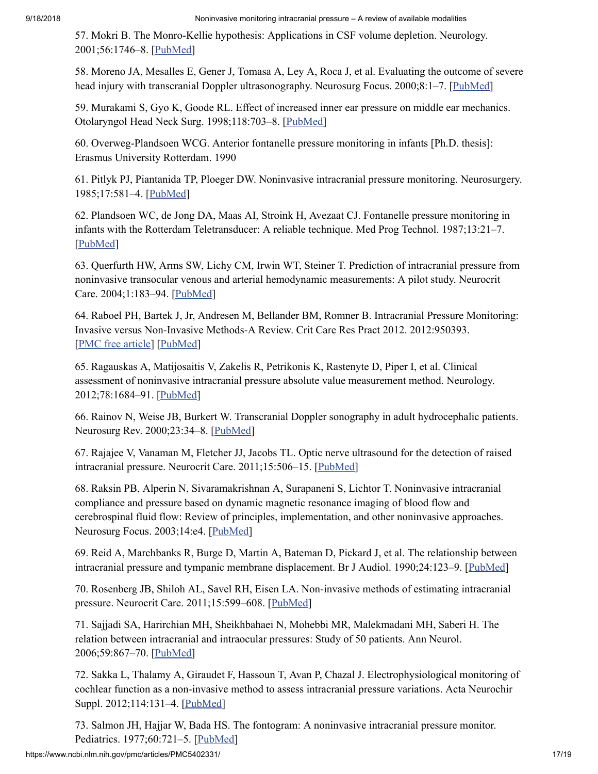<span id="page-17-0"></span>57. Mokri B. The Monro-Kellie hypothesis: Applications in CSF volume depletion. Neurology. 2001;56:1746–8. [[PubMed](https://www.ncbi.nlm.nih.gov/pubmed/11425944)]

<span id="page-17-14"></span>58. Moreno JA, Mesalles E, Gener J, Tomasa A, Ley A, Roca J, et al. Evaluating the outcome of severe head injury with transcranial Doppler ultrasonography. Neurosurg Focus. 2000;8:1–7. [[PubMed](https://www.ncbi.nlm.nih.gov/pubmed/16906703)]

<span id="page-17-11"></span>59. Murakami S, Gyo K, Goode RL. Effect of increased inner ear pressure on middle ear mechanics. Otolaryngol Head Neck Surg. 1998;118:703–8. [\[PubMed\]](https://www.ncbi.nlm.nih.gov/pubmed/9591878)

<span id="page-17-3"></span>60. Overweg-Plandsoen WCG. Anterior fontanelle pressure monitoring in infants [Ph.D. thesis]: Erasmus University Rotterdam. 1990

<span id="page-17-5"></span>61. Pitlyk PJ, Piantanida TP, Ploeger DW. Noninvasive intracranial pressure monitoring. Neurosurgery. 1985;17:581–4. [\[PubMed\]](https://www.ncbi.nlm.nih.gov/pubmed/4058693)

<span id="page-17-4"></span>62. Plandsoen WC, de Jong DA, Maas AI, Stroink H, Avezaat CJ. Fontanelle pressure monitoring in infants with the Rotterdam Teletransducer: A reliable technique. Med Prog Technol. 1987;13:21–7. [\[PubMed\]](https://www.ncbi.nlm.nih.gov/pubmed/3441241)

<span id="page-17-8"></span>63. Querfurth HW, Arms SW, Lichy CM, Irwin WT, Steiner T. Prediction of intracranial pressure from noninvasive transocular venous and arterial hemodynamic measurements: A pilot study. Neurocrit Care. 2004;1:183–94. [[PubMed](https://www.ncbi.nlm.nih.gov/pubmed/16174913)]

<span id="page-17-1"></span>64. Raboel PH, Bartek J, Jr, Andresen M, Bellander BM, Romner B. Intracranial Pressure Monitoring: Invasive versus Non-Invasive Methods-A Review. Crit Care Res Pract 2012. 2012:950393. [PMC free [article\]](https://www.ncbi.nlm.nih.gov/pmc/articles/PMC3376474/) [\[PubMed](https://www.ncbi.nlm.nih.gov/pubmed/22720148)]

<span id="page-17-16"></span>65. Ragauskas A, Matijosaitis V, Zakelis R, Petrikonis K, Rastenyte D, Piper I, et al. Clinical assessment of noninvasive intracranial pressure absolute value measurement method. Neurology. 2012;78:1684–91. [\[PubMed\]](https://www.ncbi.nlm.nih.gov/pubmed/22573638)

<span id="page-17-15"></span>66. Rainov N, Weise JB, Burkert W. Transcranial Doppler sonography in adult hydrocephalic patients. Neurosurg Rev. 2000;23:34–8. [[PubMed](https://www.ncbi.nlm.nih.gov/pubmed/10809485)]

<span id="page-17-7"></span>67. Rajajee V, Vanaman M, Fletcher JJ, Jacobs TL. Optic nerve ultrasound for the detection of raised intracranial pressure. Neurocrit Care. 2011;15:506–15. [[PubMed](https://www.ncbi.nlm.nih.gov/pubmed/21769456)]

<span id="page-17-6"></span>68. Raksin PB, Alperin N, Sivaramakrishnan A, Surapaneni S, Lichtor T. Noninvasive intracranial compliance and pressure based on dynamic magnetic resonance imaging of blood flow and cerebrospinal fluid flow: Review of principles, implementation, and other noninvasive approaches. Neurosurg Focus. 2003;14:e4. [\[PubMed\]](https://www.ncbi.nlm.nih.gov/pubmed/15679303)

<span id="page-17-9"></span>69. Reid A, Marchbanks R, Burge D, Martin A, Bateman D, Pickard J, et al. The relationship between intracranial pressure and tympanic membrane displacement. Br J Audiol. 1990;24:123–9. [[PubMed](https://www.ncbi.nlm.nih.gov/pubmed/2350622)]

<span id="page-17-13"></span>70. Rosenberg JB, Shiloh AL, Savel RH, Eisen LA. Non-invasive methods of estimating intracranial pressure. Neurocrit Care. 2011;15:599–608. [\[PubMed\]](https://www.ncbi.nlm.nih.gov/pubmed/21519957)

<span id="page-17-10"></span>71. Sajjadi SA, Harirchian MH, Sheikhbahaei N, Mohebbi MR, Malekmadani MH, Saberi H. The relation between intracranial and intraocular pressures: Study of 50 patients. Ann Neurol. 2006;59:867–70. [[PubMed](https://www.ncbi.nlm.nih.gov/pubmed/16634008)]

<span id="page-17-12"></span>72. Sakka L, Thalamy A, Giraudet F, Hassoun T, Avan P, Chazal J. Electrophysiological monitoring of cochlear function as a non-invasive method to assess intracranial pressure variations. Acta Neurochir Suppl. 2012;114:131–4. [[PubMed](https://www.ncbi.nlm.nih.gov/pubmed/22327678)]

<span id="page-17-2"></span>73. Salmon JH, Hajjar W, Bada HS. The fontogram: A noninvasive intracranial pressure monitor. Pediatrics. 1977;60:721-5. [\[PubMed\]](https://www.ncbi.nlm.nih.gov/pubmed/917635)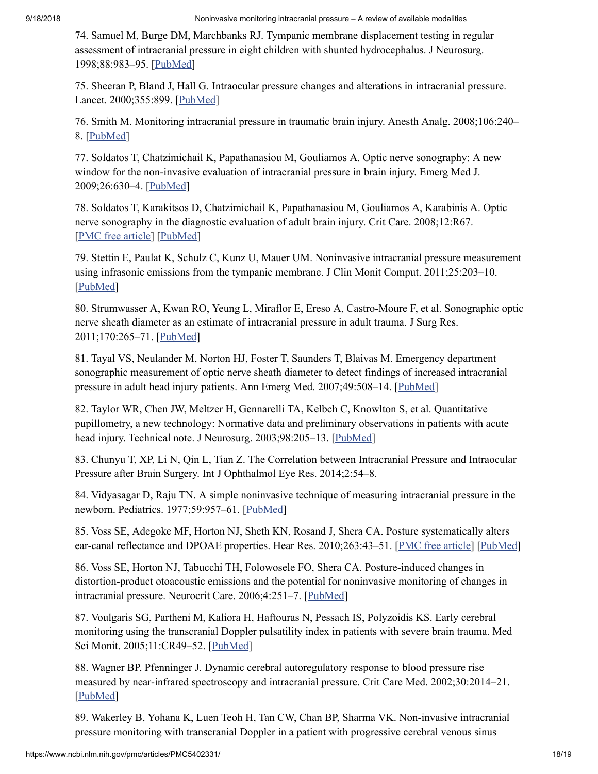<span id="page-18-6"></span>74. Samuel M, Burge DM, Marchbanks RJ. Tympanic membrane displacement testing in regular assessment of intracranial pressure in eight children with shunted hydrocephalus. J Neurosurg. 1998;88:983–95. [[PubMed](https://www.ncbi.nlm.nih.gov/pubmed/9609292)]

<span id="page-18-8"></span>75. Sheeran P, Bland J, Hall G. Intraocular pressure changes and alterations in intracranial pressure. Lancet. 2000;355:899. [\[PubMed\]](https://www.ncbi.nlm.nih.gov/pubmed/10752710)

<span id="page-18-0"></span>76. Smith M. Monitoring intracranial pressure in traumatic brain injury. Anesth Analg. 2008;106:240– 8. [\[PubMed](https://www.ncbi.nlm.nih.gov/pubmed/18165584)]

<span id="page-18-2"></span>77. Soldatos T, Chatzimichail K, Papathanasiou M, Gouliamos A. Optic nerve sonography: A new window for the non-invasive evaluation of intracranial pressure in brain injury. Emerg Med J. 2009;26:630–4. [\[PubMed\]](https://www.ncbi.nlm.nih.gov/pubmed/19700575)

<span id="page-18-3"></span>78. Soldatos T, Karakitsos D, Chatzimichail K, Papathanasiou M, Gouliamos A, Karabinis A. Optic nerve sonography in the diagnostic evaluation of adult brain injury. Crit Care. 2008;12:R67. [PMC free [article\]](https://www.ncbi.nlm.nih.gov/pmc/articles/PMC2481450/) [\[PubMed](https://www.ncbi.nlm.nih.gov/pubmed/18477382)]

<span id="page-18-7"></span>79. Stettin E, Paulat K, Schulz C, Kunz U, Mauer UM. Noninvasive intracranial pressure measurement using infrasonic emissions from the tympanic membrane. J Clin Monit Comput. 2011;25:203–10. [\[PubMed\]](https://www.ncbi.nlm.nih.gov/pubmed/21861195)

<span id="page-18-5"></span>80. Strumwasser A, Kwan RO, Yeung L, Miraflor E, Ereso A, Castro-Moure F, et al. Sonographic optic nerve sheath diameter as an estimate of intracranial pressure in adult trauma. J Surg Res. 2011;170:265–71. [[PubMed](https://www.ncbi.nlm.nih.gov/pubmed/21550065)]

<span id="page-18-4"></span>81. Tayal VS, Neulander M, Norton HJ, Foster T, Saunders T, Blaivas M. Emergency department sonographic measurement of optic nerve sheath diameter to detect findings of increased intracranial pressure in adult head injury patients. Ann Emerg Med. 2007;49:508–14. [[PubMed](https://www.ncbi.nlm.nih.gov/pubmed/16997419)]

<span id="page-18-15"></span>82. Taylor WR, Chen JW, Meltzer H, Gennarelli TA, Kelbch C, Knowlton S, et al. Quantitative pupillometry, a new technology: Normative data and preliminary observations in patients with acute head injury. Technical note. J Neurosurg. 2003;98:205–13. [\[PubMed\]](https://www.ncbi.nlm.nih.gov/pubmed/12546375)

<span id="page-18-9"></span>83. Chunyu T, XP, Li N, Qin L, Tian Z. The Correlation between Intracranial Pressure and Intraocular Pressure after Brain Surgery. Int J Ophthalmol Eye Res. 2014;2:54–8.

<span id="page-18-1"></span>84. Vidyasagar D, Raju TN. A simple noninvasive technique of measuring intracranial pressure in the newborn. Pediatrics. 1977;59:957-61. [\[PubMed\]](https://www.ncbi.nlm.nih.gov/pubmed/577305)

<span id="page-18-10"></span>85. Voss SE, Adegoke MF, Horton NJ, Sheth KN, Rosand J, Shera CA. Posture systematically alters ear-canal reflectance and DPOAE properties. Hear Res. 2010;263:43-51. [PMC free [article](https://www.ncbi.nlm.nih.gov/pmc/articles/PMC3179977/)] [\[PubMed\]](https://www.ncbi.nlm.nih.gov/pubmed/20227475)

<span id="page-18-11"></span>86. Voss SE, Horton NJ, Tabucchi TH, Folowosele FO, Shera CA. Posture-induced changes in distortion-product otoacoustic emissions and the potential for noninvasive monitoring of changes in intracranial pressure. Neurocrit Care. 2006;4:251–7. [\[PubMed\]](https://www.ncbi.nlm.nih.gov/pubmed/16757834)

<span id="page-18-13"></span>87. Voulgaris SG, Partheni M, Kaliora H, Haftouras N, Pessach IS, Polyzoidis KS. Early cerebral monitoring using the transcranial Doppler pulsatility index in patients with severe brain trauma. Med Sci Monit. 2005;11:CR49–52. [\[PubMed](https://www.ncbi.nlm.nih.gov/pubmed/15668630)]

<span id="page-18-14"></span>88. Wagner BP, Pfenninger J. Dynamic cerebral autoregulatory response to blood pressure rise measured by near-infrared spectroscopy and intracranial pressure. Crit Care Med. 2002;30:2014–21. [\[PubMed\]](https://www.ncbi.nlm.nih.gov/pubmed/12352034)

<span id="page-18-12"></span>89. Wakerley B, Yohana K, Luen Teoh H, Tan CW, Chan BP, Sharma VK. Non-invasive intracranial pressure monitoring with transcranial Doppler in a patient with progressive cerebral venous sinus